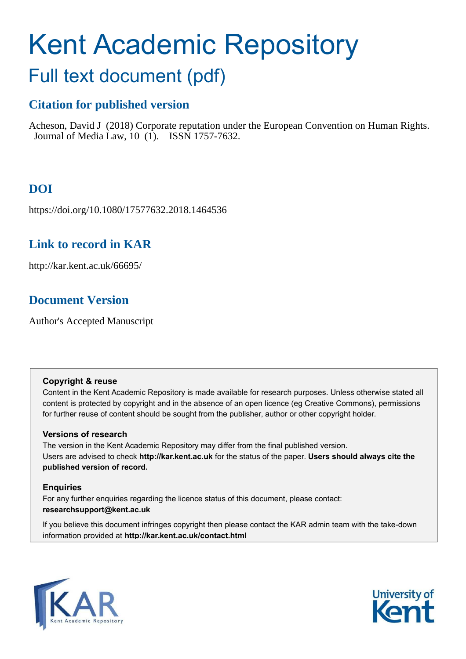# Kent Academic Repository

## Full text document (pdf)

## **Citation for published version**

Acheson, David J (2018) Corporate reputation under the European Convention on Human Rights. Journal of Media Law, 10 (1). ISSN 1757-7632.

## **DOI**

https://doi.org/10.1080/17577632.2018.1464536

## **Link to record in KAR**

http://kar.kent.ac.uk/66695/

## **Document Version**

Author's Accepted Manuscript

#### **Copyright & reuse**

Content in the Kent Academic Repository is made available for research purposes. Unless otherwise stated all content is protected by copyright and in the absence of an open licence (eg Creative Commons), permissions for further reuse of content should be sought from the publisher, author or other copyright holder.

#### **Versions of research**

The version in the Kent Academic Repository may differ from the final published version. Users are advised to check **http://kar.kent.ac.uk** for the status of the paper. **Users should always cite the published version of record.**

#### **Enquiries**

For any further enquiries regarding the licence status of this document, please contact: **researchsupport@kent.ac.uk**

If you believe this document infringes copyright then please contact the KAR admin team with the take-down information provided at **http://kar.kent.ac.uk/contact.html**



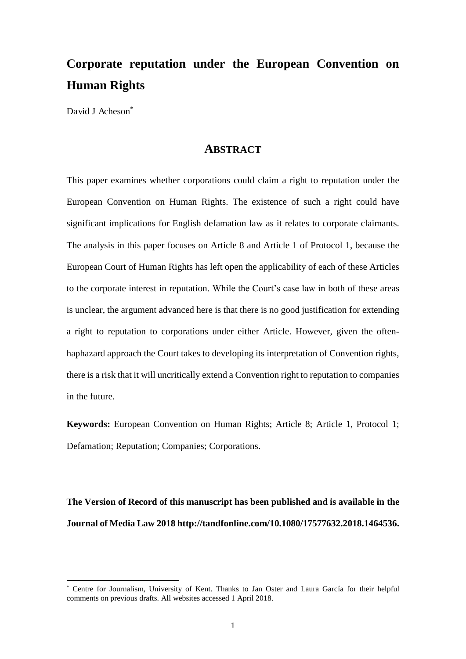## **Corporate reputation under the European Convention on Human Rights**

David J Acheson<sup>\*</sup>

 $\overline{a}$ 

#### **ABSTRACT**

This paper examines whether corporations could claim a right to reputation under the European Convention on Human Rights. The existence of such a right could have significant implications for English defamation law as it relates to corporate claimants. The analysis in this paper focuses on Article 8 and Article 1 of Protocol 1, because the European Court of Human Rights has left open the applicability of each of these Articles to the corporate interest in reputation. While the Court's case law in both of these areas is unclear, the argument advanced here is that there is no good justification for extending a right to reputation to corporations under either Article. However, given the oftenhaphazard approach the Court takes to developing its interpretation of Convention rights, there is a risk that it will uncritically extend a Convention right to reputation to companies in the future.

**Keywords:** European Convention on Human Rights; Article 8; Article 1, Protocol 1; Defamation; Reputation; Companies; Corporations.

**The Version of Record of this manuscript has been published and is available in the Journal of Media Law 2018 http://tandfonline.com/10.1080/17577632.2018.1464536.** 

<sup>\*</sup> Centre for Journalism, University of Kent. Thanks to Jan Oster and Laura García for their helpful comments on previous drafts. All websites accessed 1 April 2018.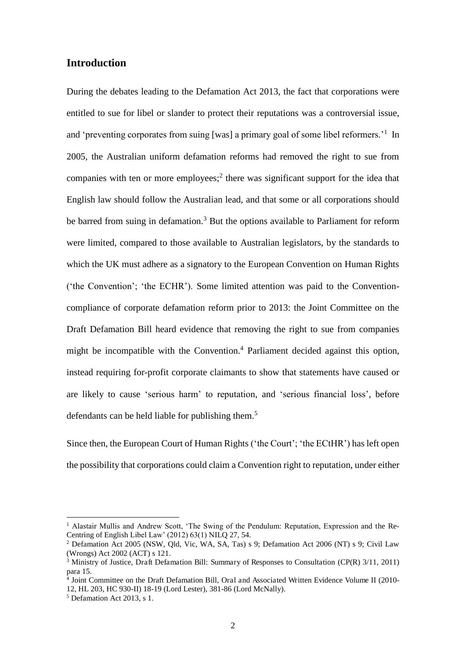#### **Introduction**

During the debates leading to the Defamation Act 2013, the fact that corporations were entitled to sue for libel or slander to protect their reputations was a controversial issue, and 'preventing corporates from suing [was] a primary goal of some libel reformers.<sup>'1</sup> In 2005, the Australian uniform defamation reforms had removed the right to sue from companies with ten or more employees;<sup>2</sup> there was significant support for the idea that English law should follow the Australian lead, and that some or all corporations should be barred from suing in defamation.<sup>3</sup> But the options available to Parliament for reform were limited, compared to those available to Australian legislators, by the standards to which the UK must adhere as a signatory to the European Convention on Human Rights ('the Convention'; 'the ECHR'). Some limited attention was paid to the Conventioncompliance of corporate defamation reform prior to 2013: the Joint Committee on the Draft Defamation Bill heard evidence that removing the right to sue from companies might be incompatible with the Convention.<sup>4</sup> Parliament decided against this option, instead requiring for-profit corporate claimants to show that statements have caused or are likely to cause 'serious harm' to reputation, and 'serious financial loss', before defendants can be held liable for publishing them.<sup>5</sup>

Since then, the European Court of Human Rights ('the Court'; 'the ECtHR') has left open the possibility that corporations could claim a Convention right to reputation, under either

<sup>&</sup>lt;sup>1</sup> Alastair Mullis and Andrew Scott, 'The Swing of the Pendulum: Reputation, Expression and the Re-Centring of English Libel Law' (2012) 63(1) NILQ 27, 54.

<sup>2</sup> Defamation Act 2005 (NSW, Qld, Vic, WA, SA, Tas) s 9; Defamation Act 2006 (NT) s 9; Civil Law (Wrongs) Act 2002 (ACT) s 121.

<sup>&</sup>lt;sup>3</sup> Ministry of Justice, Draft Defamation Bill: Summary of Responses to Consultation (CP(R) 3/11, 2011) para 15.

<sup>4</sup> Joint Committee on the Draft Defamation Bill, Oral and Associated Written Evidence Volume II (2010- 12, HL 203, HC 930-II) 18-19 (Lord Lester), 381-86 (Lord McNally).

<sup>5</sup> Defamation Act 2013, s 1.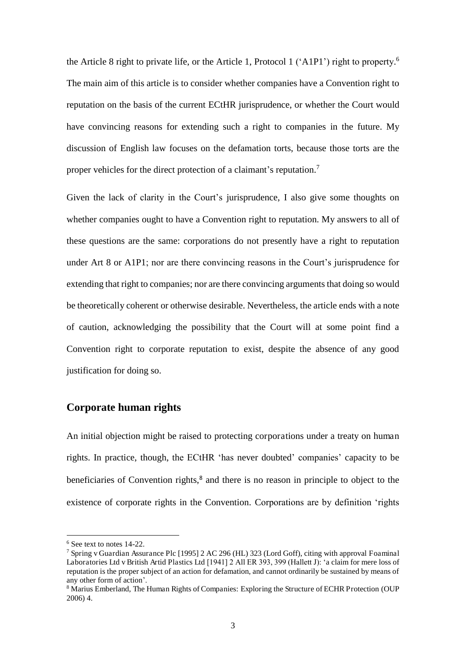the Article 8 right to private life, or the Article 1, Protocol 1 ('A1P1') right to property. 6 The main aim of this article is to consider whether companies have a Convention right to reputation on the basis of the current ECtHR jurisprudence, or whether the Court would have convincing reasons for extending such a right to companies in the future. My discussion of English law focuses on the defamation torts, because those torts are the proper vehicles for the direct protection of a claimant's reputation.<sup>7</sup>

Given the lack of clarity in the Court's jurisprudence, I also give some thoughts on whether companies ought to have a Convention right to reputation. My answers to all of these questions are the same: corporations do not presently have a right to reputation under Art 8 or A1P1; nor are there convincing reasons in the Court's jurisprudence for extending that right to companies; nor are there convincing arguments that doing so would be theoretically coherent or otherwise desirable. Nevertheless, the article ends with a note of caution, acknowledging the possibility that the Court will at some point find a Convention right to corporate reputation to exist, despite the absence of any good justification for doing so.

#### **Corporate human rights**

An initial objection might be raised to protecting corporations under a treaty on human rights. In practice, though, the ECtHR 'has never doubted' companies' capacity to be beneficiaries of Convention rights,<sup>8</sup> and there is no reason in principle to object to the existence of corporate rights in the Convention. Corporations are by definition 'rights

<sup>6</sup> See text to notes 14-22.

<sup>7</sup> Spring v Guardian Assurance Plc [1995] 2 AC 296 (HL) 323 (Lord Goff), citing with approval Foaminal Laboratories Ltd v British Artid Plastics Ltd [1941] 2 All ER 393, 399 (Hallett J): 'a claim for mere loss of reputation is the proper subject of an action for defamation, and cannot ordinarily be sustained by means of any other form of action'.

<sup>&</sup>lt;sup>8</sup> Marius Emberland, The Human Rights of Companies: Exploring the Structure of ECHR Protection (OUP 2006) 4.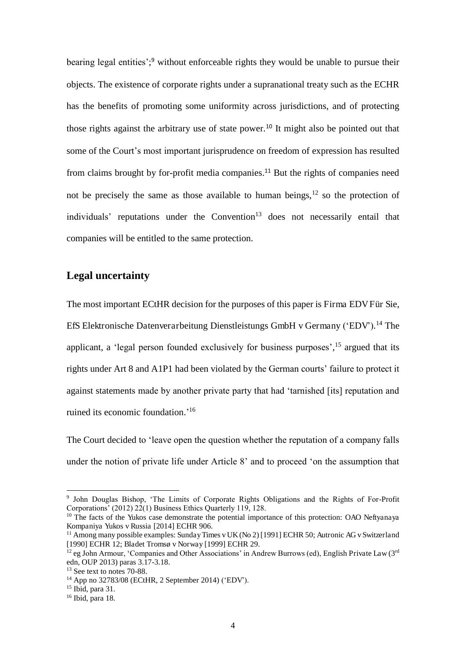bearing legal entities';<sup>9</sup> without enforceable rights they would be unable to pursue their objects. The existence of corporate rights under a supranational treaty such as the ECHR has the benefits of promoting some uniformity across jurisdictions, and of protecting those rights against the arbitrary use of state power.<sup>10</sup> It might also be pointed out that some of the Court's most important jurisprudence on freedom of expression has resulted from claims brought by for-profit media companies.<sup>11</sup> But the rights of companies need not be precisely the same as those available to human beings,  $12$  so the protection of  $individuals'$  reputations under the Convention<sup>13</sup> does not necessarily entail that companies will be entitled to the same protection.

#### **Legal uncertainty**

The most important ECtHR decision for the purposes of this paper is Firma EDV Für Sie, EfS Elektronische Datenverarbeitung Dienstleistungs GmbH v Germany ('EDV').<sup>14</sup> The applicant, a 'legal person founded exclusively for business purposes', <sup>15</sup> argued that its rights under Art 8 and A1P1 had been violated by the German courts' failure to protect it against statements made by another private party that had 'tarnished [its] reputation and ruined its economic foundation.' 16

The Court decided to 'leave open the question whether the reputation of a company falls under the notion of private life under Article 8' and to proceed 'on the assumption that

<sup>9</sup> John Douglas Bishop, 'The Limits of Corporate Rights Obligations and the Rights of For-Profit Corporations' (2012) 22(1) Business Ethics Quarterly 119, 128.

 $10$  The facts of the Yukos case demonstrate the potential importance of this protection: OAO Neftyanaya Kompaniya Yukos v Russia [2014] ECHR 906.

<sup>&</sup>lt;sup>11</sup> Among many possible examples: Sunday Times v UK (No 2) [1991] ECHR 50; Autronic AG v Switzerland [1990] ECHR 12; Bladet Tromsø v Norway [1999] ECHR 29.

 $^{12}$  eg John Armour, 'Companies and Other Associations' in Andrew Burrows (ed), English Private Law (3rd) edn, OUP 2013) paras 3.17-3.18.

<sup>&</sup>lt;sup>13</sup> See text to notes 70-88.

<sup>14</sup> App no 32783/08 (ECtHR, 2 September 2014) ('EDV').

 $15$  Ibid, para 31.

<sup>16</sup> Ibid, para 18.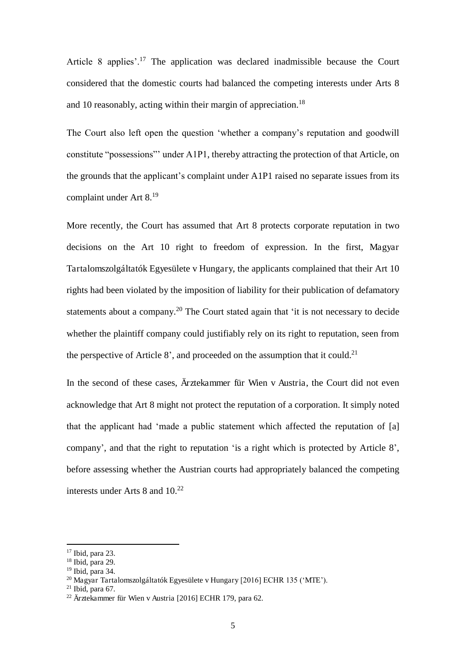Article 8 applies'.<sup>17</sup> The application was declared inadmissible because the Court considered that the domestic courts had balanced the competing interests under Arts 8 and 10 reasonably, acting within their margin of appreciation.<sup>18</sup>

The Court also left open the question 'whether a company's reputation and goodwill constitute "possessions"' under A1P1, thereby attracting the protection of that Article, on the grounds that the applicant's complaint under A1P1 raised no separate issues from its complaint under Art 8.<sup>19</sup>

More recently, the Court has assumed that Art 8 protects corporate reputation in two decisions on the Art 10 right to freedom of expression. In the first, Magyar Tartalomszolgáltatók Egyesülete v Hungary, the applicants complained that their Art 10 rights had been violated by the imposition of liability for their publication of defamatory statements about a company.<sup>20</sup> The Court stated again that 'it is not necessary to decide whether the plaintiff company could justifiably rely on its right to reputation, seen from the perspective of Article 8', and proceeded on the assumption that it could.<sup>21</sup>

In the second of these cases, Ärztekammer für Wien v Austria, the Court did not even acknowledge that Art 8 might not protect the reputation of a corporation. It simply noted that the applicant had 'made a public statement which affected the reputation of [a] company', and that the right to reputation 'is a right which is protected by Article 8', before assessing whether the Austrian courts had appropriately balanced the competing interests under Arts 8 and 10.<sup>22</sup>

<sup>17</sup> Ibid, para 23.

<sup>18</sup> Ibid, para 29.

 $19$  Ibid, para 34.

<sup>20</sup> Magyar Tartalomszolgáltatók Egyesülete v Hungary [2016] ECHR 135 ('MTE').

 $21$  Ibid, para 67.

<sup>22</sup> Ärztekammer für Wien v Austria [2016] ECHR 179, para 62.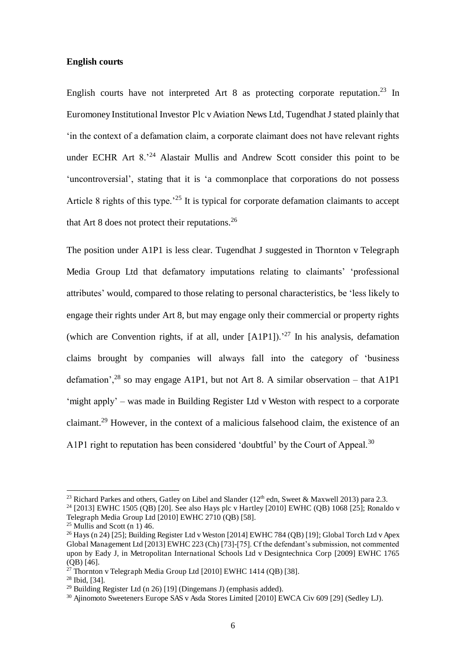#### **English courts**

English courts have not interpreted Art  $8$  as protecting corporate reputation.<sup>23</sup> In Euromoney Institutional Investor Plc v Aviation News Ltd, Tugendhat J stated plainly that 'in the context of a defamation claim, a corporate claimant does not have relevant rights under ECHR Art 8.<sup>24</sup> Alastair Mullis and Andrew Scott consider this point to be 'uncontroversial', stating that it is 'a commonplace that corporations do not possess Article 8 rights of this type.<sup> $25$ </sup> It is typical for corporate defamation claimants to accept that Art 8 does not protect their reputations.<sup>26</sup>

The position under A1P1 is less clear. Tugendhat J suggested in Thornton v Telegraph Media Group Ltd that defamatory imputations relating to claimants' 'professional attributes' would, compared to those relating to personal characteristics, be 'less likely to engage their rights under Art 8, but may engage only their commercial or property rights (which are Convention rights, if at all, under  $[A1P1]$ ).<sup>27</sup> In his analysis, defamation claims brought by companies will always fall into the category of 'business defamation',<sup>28</sup> so may engage A1P1, but not Art 8. A similar observation – that A1P1 'might apply' – was made in Building Register Ltd v Weston with respect to a corporate claimant.<sup>29</sup> However, in the context of a malicious falsehood claim, the existence of an A1P1 right to reputation has been considered 'doubtful' by the Court of Appeal.<sup>30</sup>

<sup>&</sup>lt;sup>23</sup> Richard Parkes and others, Gatley on Libel and Slander ( $12<sup>th</sup>$  edn, Sweet & Maxwell 2013) para 2.3.

<sup>&</sup>lt;sup>24</sup> [2013] EWHC 1505 (QB) [20]. See also Hays plc v Hartley [2010] EWHC (QB) 1068 [25]; Ronaldo v Telegraph Media Group Ltd [2010] EWHC 2710 (QB) [58].

 $25$  Mullis and Scott (n 1) 46.

<sup>&</sup>lt;sup>26</sup> Hays (n 24) [25]; Building Register Ltd v Weston [2014] EWHC 784 (QB) [19]; Global Torch Ltd v Apex Global Management Ltd [2013] EWHC 223 (Ch) [73]-[75]. Cf the defendant's submission, not commented upon by Eady J, in Metropolitan International Schools Ltd v Designtechnica Corp [2009] EWHC 1765 (QB) [46].

 $^{27}$  Thornton v Telegraph Media Group Ltd [2010] EWHC 1414 (OB) [38].

<sup>28</sup> Ibid, [34].

<sup>&</sup>lt;sup>29</sup> Building Register Ltd (n 26) [19] (Dingemans J) (emphasis added).

<sup>30</sup> Ajinomoto Sweeteners Europe SAS v Asda Stores Limited [2010] EWCA Civ 609 [29] (Sedley LJ).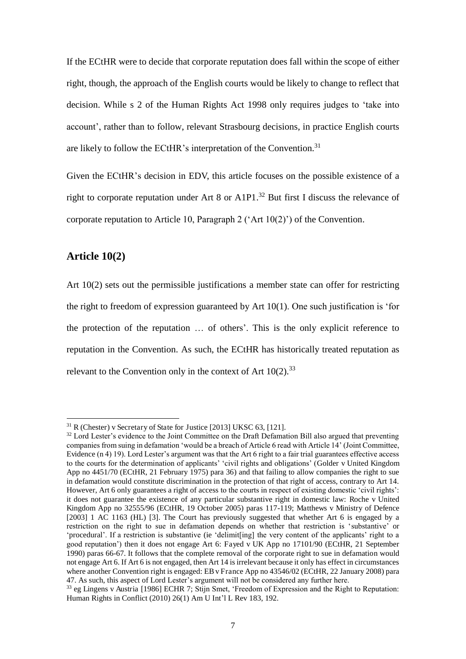If the ECtHR were to decide that corporate reputation does fall within the scope of either right, though, the approach of the English courts would be likely to change to reflect that decision. While s 2 of the Human Rights Act 1998 only requires judges to 'take into account', rather than to follow, relevant Strasbourg decisions, in practice English courts are likely to follow the ECtHR's interpretation of the Convention.<sup>31</sup>

Given the ECtHR's decision in EDV, this article focuses on the possible existence of a right to corporate reputation under Art 8 or A1P1.<sup>32</sup> But first I discuss the relevance of corporate reputation to Article 10, Paragraph 2 ('Art 10(2)') of the Convention.

#### **Article 10(2)**

 $\overline{a}$ 

Art 10(2) sets out the permissible justifications a member state can offer for restricting the right to freedom of expression guaranteed by Art 10(1). One such justification is 'for the protection of the reputation … of others'. This is the only explicit reference to reputation in the Convention. As such, the ECtHR has historically treated reputation as relevant to the Convention only in the context of Art  $10(2)$ .<sup>33</sup>

 $31$  R (Chester) v Secretary of State for Justice [2013] UKSC 63, [121].

<sup>&</sup>lt;sup>32</sup> Lord Lester's evidence to the Joint Committee on the Draft Defamation Bill also argued that preventing companies from suing in defamation 'would be a breach of Article 6 read with Article 14' (Joint Committee, Evidence (n 4) 19). Lord Lester's argument was that the Art 6 right to a fair trial guarantees effective access to the courts for the determination of applicants' 'civil rights and obligations' (Golder v United Kingdom App no 4451/70 (ECtHR, 21 February 1975) para 36) and that failing to allow companies the right to sue in defamation would constitute discrimination in the protection of that right of access, contrary to Art 14. However, Art 6 only guarantees a right of access to the courts in respect of existing domestic 'civil rights': it does not guarantee the existence of any particular substantive right in domestic law: Roche v United Kingdom App no 32555/96 (ECtHR, 19 October 2005) paras 117-119; Matthews v Ministry of Defence [2003] 1 AC 1163 (HL) [3]. The Court has previously suggested that whether Art 6 is engaged by a restriction on the right to sue in defamation depends on whether that restriction is 'substantive' or 'procedural'. If a restriction is substantive (ie 'delimit[ing] the very content of the applicants' right to a good reputation') then it does not engage Art 6: Fayed v UK App no 17101/90 (ECtHR, 21 September 1990) paras 66-67. It follows that the complete removal of the corporate right to sue in defamation would not engage Art 6. If Art 6 is not engaged, then Art 14 is irrelevant because it only has effect in circumstances where another Convention right is engaged: EB v France App no 43546/02 (ECtHR, 22 January 2008) para 47. As such, this aspect of Lord Lester's argument will not be considered any further here.

<sup>33</sup> eg Lingens v Austria [1986] ECHR 7; Stijn Smet, 'Freedom of Expression and the Right to Reputation: Human Rights in Conflict (2010) 26(1) Am U Int'l L Rev 183, 192.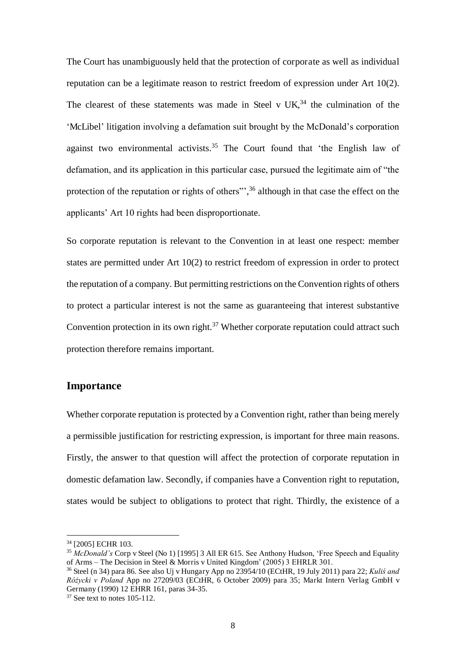The Court has unambiguously held that the protection of corporate as well as individual reputation can be a legitimate reason to restrict freedom of expression under Art 10(2). The clearest of these statements was made in Steel v  $UK<sub>34</sub>$  the culmination of the 'McLibel' litigation involving a defamation suit brought by the McDonald's corporation against two environmental activists.<sup>35</sup> The Court found that 'the English law of defamation, and its application in this particular case, pursued the legitimate aim of "the protection of the reputation or rights of others"',<sup>36</sup> although in that case the effect on the applicants' Art 10 rights had been disproportionate.

So corporate reputation is relevant to the Convention in at least one respect: member states are permitted under Art 10(2) to restrict freedom of expression in order to protect the reputation of a company. But permitting restrictions on the Convention rights of others to protect a particular interest is not the same as guaranteeing that interest substantive Convention protection in its own right.<sup>37</sup> Whether corporate reputation could attract such protection therefore remains important.

#### **Importance**

Whether corporate reputation is protected by a Convention right, rather than being merely a permissible justification for restricting expression, is important for three main reasons. Firstly, the answer to that question will affect the protection of corporate reputation in domestic defamation law. Secondly, if companies have a Convention right to reputation, states would be subject to obligations to protect that right. Thirdly, the existence of a

<sup>34</sup> [2005] ECHR 103.

<sup>35</sup> *McDonald's* Corp v Steel (No 1) [1995] 3 All ER 615. See Anthony Hudson, 'Free Speech and Equality of Arms – The Decision in Steel & Morris v United Kingdom' (2005) 3 EHRLR 301.

 $36$  Steel (n 34) para 86. See also Uj v Hungary App no 23954/10 (ECtHR, 19 July 2011) para 22; *Kuliś and Rócycki v Poland* App no 27209/03 (ECtHR, 6 October 2009) para 35; Markt Intern Verlag GmbH v Germany (1990) 12 EHRR 161, paras 34-35.

 $37$  See text to notes 105-112.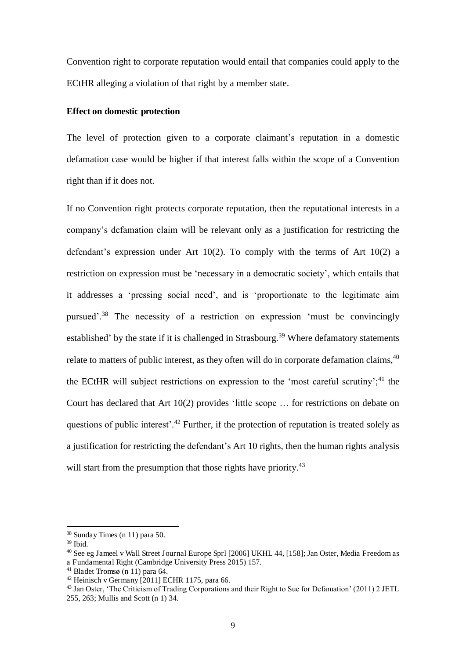Convention right to corporate reputation would entail that companies could apply to the ECtHR alleging a violation of that right by a member state.

#### **Effect on domestic protection**

The level of protection given to a corporate claimant's reputation in a domestic defamation case would be higher if that interest falls within the scope of a Convention right than if it does not.

If no Convention right protects corporate reputation, then the reputational interests in a company's defamation claim will be relevant only as a justification for restricting the defendant's expression under Art 10(2). To comply with the terms of Art 10(2) a restriction on expression must be 'necessary in a democratic society', which entails that it addresses a 'pressing social need', and is 'proportionate to the legitimate aim pursued'.<sup>38</sup> The necessity of a restriction on expression 'must be convincingly established' by the state if it is challenged in Strasbourg.<sup>39</sup> Where defamatory statements relate to matters of public interest, as they often will do in corporate defamation claims,  $40$ the ECtHR will subject restrictions on expression to the 'most careful scrutiny';<sup>41</sup> the Court has declared that Art 10(2) provides 'little scope … for restrictions on debate on questions of public interest'.<sup>42</sup> Further, if the protection of reputation is treated solely as a justification for restricting the defendant's Art 10 rights, then the human rights analysis will start from the presumption that those rights have priority.<sup>43</sup>

<sup>38</sup> Sunday Times (n 11) para 50.

<sup>39</sup> Ibid.

<sup>40</sup> See eg Jameel v Wall Street Journal Europe Sprl [2006] UKHL 44, [158]; Jan Oster, Media Freedom as a Fundamental Right (Cambridge University Press 2015) 157.

<sup>41</sup> Bladet Tromsø (n 11) para 64.

 $42$  Heinisch v Germany  $\sqrt{20111}$  ECHR 1175, para 66.

<sup>&</sup>lt;sup>43</sup> Jan Oster, 'The Criticism of Trading Corporations and their Right to Sue for Defamation' (2011) 2 JETL 255, 263; Mullis and Scott (n 1) 34.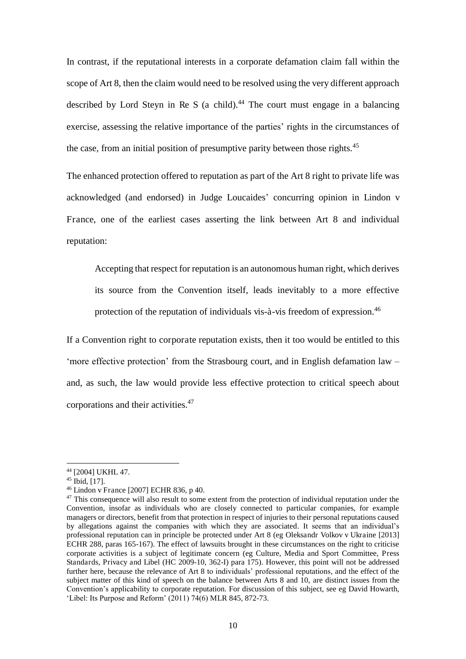In contrast, if the reputational interests in a corporate defamation claim fall within the scope of Art 8, then the claim would need to be resolved using the very different approach described by Lord Steyn in Re S (a child).<sup>44</sup> The court must engage in a balancing exercise, assessing the relative importance of the parties' rights in the circumstances of the case, from an initial position of presumptive parity between those rights.<sup>45</sup>

The enhanced protection offered to reputation as part of the Art 8 right to private life was acknowledged (and endorsed) in Judge Loucaides' concurring opinion in Lindon v France, one of the earliest cases asserting the link between Art 8 and individual reputation:

Accepting that respect for reputation is an autonomous human right, which derives its source from the Convention itself, leads inevitably to a more effective protection of the reputation of individuals vis-à-vis freedom of expression.<sup>46</sup>

If a Convention right to corporate reputation exists, then it too would be entitled to this 'more effective protection' from the Strasbourg court, and in English defamation law – and, as such, the law would provide less effective protection to critical speech about corporations and their activities.<sup>47</sup>

<sup>44</sup> [2004] UKHL 47.

<sup>45</sup> Ibid, [17].

<sup>46</sup> Lindon v France [2007] ECHR 836, p 40.

<sup>&</sup>lt;sup>47</sup> This consequence will also result to some extent from the protection of individual reputation under the Convention, insofar as individuals who are closely connected to particular companies, for example managers or directors, benefit from that protection in respect of injuries to their personal reputations caused by allegations against the companies with which they are associated. It seems that an individual's professional reputation can in principle be protected under Art 8 (eg Oleksandr Volkov v Ukraine [2013] ECHR 288, paras 165-167). The effect of lawsuits brought in these circumstances on the right to criticise corporate activities is a subject of legitimate concern (eg Culture, Media and Sport Committee, Press Standards, Privacy and Libel (HC 2009-10, 362-I) para 175). However, this point will not be addressed further here, because the relevance of Art 8 to individuals' professional reputations, and the effect of the subject matter of this kind of speech on the balance between Arts 8 and 10, are distinct issues from the Convention's applicability to corporate reputation. For discussion of this subject, see eg David Howarth, 'Libel: Its Purpose and Reform'  $(2011)$  74 $(6)$  MLR 845, 872-73.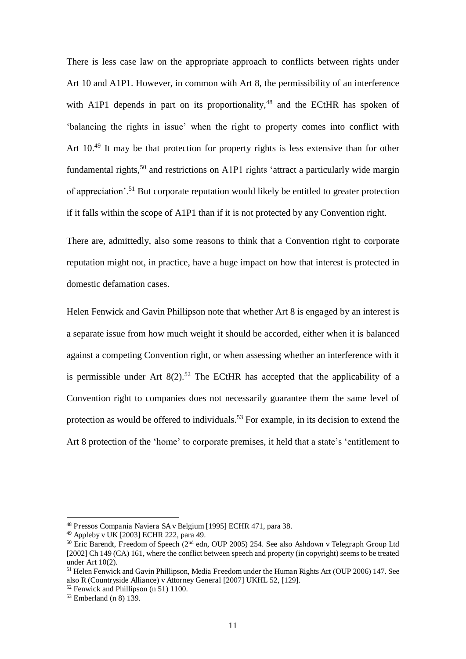There is less case law on the appropriate approach to conflicts between rights under Art 10 and A1P1. However, in common with Art 8, the permissibility of an interference with A1P1 depends in part on its proportionality,  $48$  and the ECtHR has spoken of 'balancing the rights in issue' when the right to property comes into conflict with Art 10.<sup>49</sup> It may be that protection for property rights is less extensive than for other fundamental rights,<sup>50</sup> and restrictions on A1P1 rights 'attract a particularly wide margin of annreciation'.<sup>51</sup> But corporate reputation would likely be entitled to greater protection if it falls within the scope of A1P1 than if it is not protected by any Convention right.

There are, admittedly, also some reasons to think that a Convention right to corporate reputation might not, in practice, have a huge impact on how that interest is protected in domestic defamation cases.

Helen Fenwick and Gavin Phillipson note that whether Art 8 is engaged by an interest is a separate issue from how much weight it should be accorded, either when it is balanced against a competing Convention right, or when assessing whether an interference with it is permissible under Art  $8(2)$ .<sup>52</sup> The ECtHR has accepted that the applicability of a Convention right to companies does not necessarily guarantee them the same level of protection as would be offered to individuals.<sup>53</sup> For example, in its decision to extend the Art 8 protection of the 'home' to corporate premises, it held that a state's 'entitlement to

<sup>48</sup> Pressos Compania Naviera SA v Belgium [1995] ECHR 471, para 38.

<sup>49</sup> Appleby v UK [2003] ECHR 222, para 49.

<sup>&</sup>lt;sup>50</sup> Eric Barendt, Freedom of Speech (2<sup>nd</sup> edn, OUP 2005) 254. See also Ashdown v Telegraph Group Ltd [2002] Ch 149 (CA) 161, where the conflict between speech and property (in copyright) seems to be treated under Art 10(2).

<sup>&</sup>lt;sup>51</sup> Helen Fenwick and Gavin Phillipson, Media Freedom under the Human Rights Act (OUP 2006) 147. See also R (Countryside Alliance) v Attorney General [2007] UKHL 52, [129].

 $52$  Fenwick and Phillipson (n 51) 1100.

<sup>53</sup> Emberland (n 8) 139.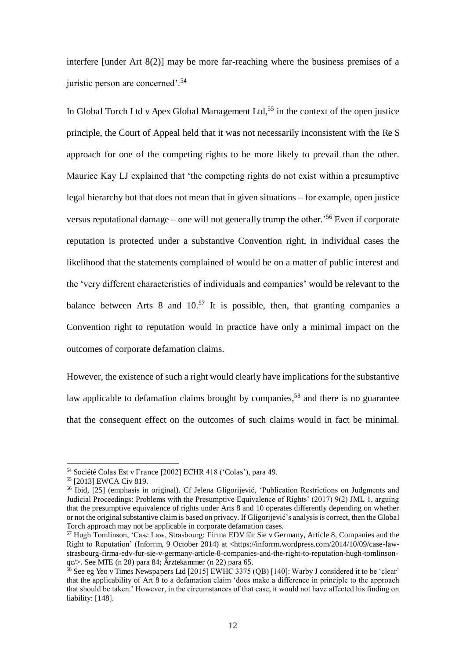interfere [under Art 8(2)] may be more far-reaching where the business premises of a juristic person are concerned'.<sup>54</sup>

In Global Torch Ltd v Apex Global Management Ltd,<sup>55</sup> in the context of the open justice principle, the Court of Appeal held that it was not necessarily inconsistent with the Re S approach for one of the competing rights to be more likely to prevail than the other. Maurice Kay LJ explained that 'the competing rights do not exist within a presumptive legal hierarchy but that does not mean that in given situations – for example, open justice versus reputational damage – one will not generally trump the other.<sup>56</sup> Even if corporate reputation is protected under a substantive Convention right, in individual cases the likelihood that the statements complained of would be on a matter of public interest and the 'very different characteristics of individuals and companies' would be relevant to the balance between Arts 8 and  $10^{57}$  It is possible, then, that granting companies a Convention right to reputation would in practice have only a minimal impact on the outcomes of corporate defamation claims.

However, the existence of such a right would clearly have implications for the substantive law applicable to defamation claims brought by companies,<sup>58</sup> and there is no guarantee that the consequent effect on the outcomes of such claims would in fact be minimal.

<sup>54</sup> Société Colas Est v France [2002] ECHR 418 ('Colas'), para 49.

<sup>55</sup> [2013] EWCA Civ 819.

<sup>56</sup> Ibid, [25] (emphasis in original). Cf Jelena Gligorijević, 'Publication Restrictions on Judgments and Judicial Proceedings: Problems with the Presumptive Equivalence of Rights' (2017) 9(2) JML 1, arguing that the presumptive equivalence of rights under Arts 8 and 10 operates differently depending on whether or not the original substantive claim is based on privacy. If Gligorijević's analysis is correct, then the Global Torch approach may not be applicable in corporate defamation cases.

<sup>&</sup>lt;sup>57</sup> Hugh Tomlinson, 'Case Law, Strasbourg: Firma EDV für Sie v Germany, Article 8, Companies and the Right to Reputation' (Inforrm, 9 October 2014) at <https://inforrm.wordpress.com/2014/10/09/case-lawstrasbourg-firma-edv-fur-sie-v-germany-article-8-companies-and-the-right-to-reputation-hugh-tomlinsonqc/>. See MTE (n 20) para 84; Ärztekammer (n 22) para 65.

 $58$  See eg Yeo v Times Newspapers Ltd [2015] EWHC 3375 (OB) [140]: Warby J considered it to be 'clear' that the applicability of Art 8 to a defamation claim 'does make a difference in principle to the approach that should be taken.' However, in the circumstances of that case, it would not have affected his finding on liability: [148].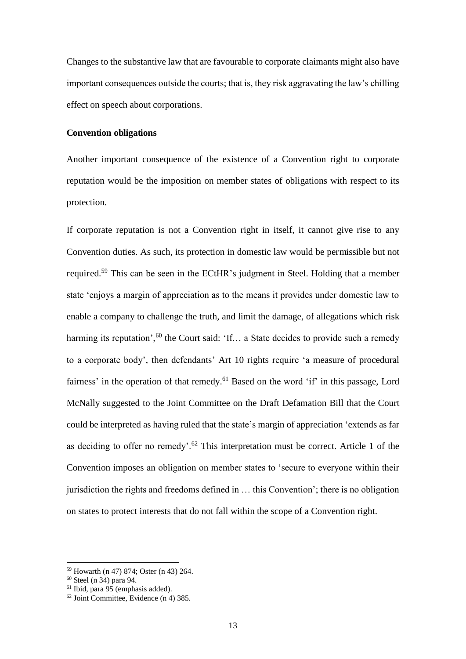Changes to the substantive law that are favourable to corporate claimants might also have important consequences outside the courts; that is, they risk aggravating the law's chilling effect on speech about corporations.

#### **Convention obligations**

Another important consequence of the existence of a Convention right to corporate reputation would be the imposition on member states of obligations with respect to its protection.

If corporate reputation is not a Convention right in itself, it cannot give rise to any Convention duties. As such, its protection in domestic law would be permissible but not required.<sup>59</sup> This can be seen in the ECtHR's judgment in Steel. Holding that a member state 'enjoys a margin of appreciation as to the means it provides under domestic law to enable a company to challenge the truth, and limit the damage, of allegations which risk harming its reputation',<sup>60</sup> the Court said: 'If... a State decides to provide such a remedy to a corporate body', then defendants' Art 10 rights require 'a measure of procedural fairness' in the operation of that remedy.<sup>61</sup> Based on the word 'if' in this passage, Lord McNally suggested to the Joint Committee on the Draft Defamation Bill that the Court could be interpreted as having ruled that the state's margin of appreciation 'extends as far as deciding to offer no remedy'.<sup>62</sup> This interpretation must be correct. Article 1 of the Convention imposes an obligation on member states to 'secure to everyone within their jurisdiction the rights and freedoms defined in … this Convention'; there is no obligation on states to protect interests that do not fall within the scope of a Convention right.

<sup>59</sup> Howarth (n 47) 874; Oster (n 43) 264.

 $60$  Steel (n 34) para 94.

 $61$  Ibid, para 95 (emphasis added).

 $62$  Joint Committee, Evidence (n 4) 385.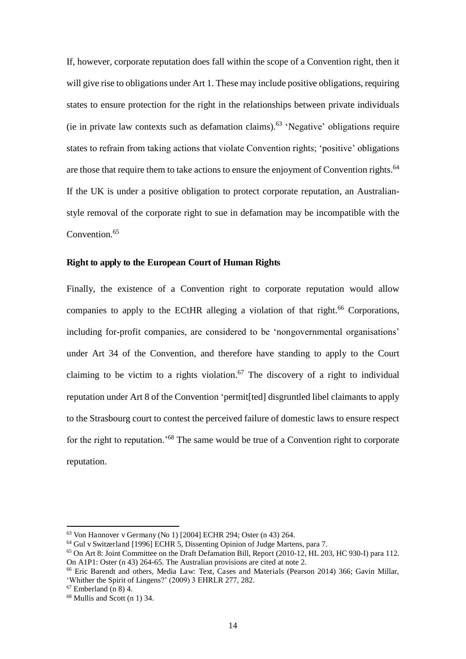If, however, corporate reputation does fall within the scope of a Convention right, then it will give rise to obligations under Art 1. These may include positive obligations, requiring states to ensure protection for the right in the relationships between private individuals (ie in private law contexts such as defamation claims).<sup>63</sup> 'Negative' obligations require states to refrain from taking actions that violate Convention rights; 'positive' obligations are those that require them to take actions to ensure the enjoyment of Convention rights.<sup>64</sup> If the UK is under a positive obligation to protect corporate reputation, an Australianstyle removal of the corporate right to sue in defamation may be incompatible with the Convention.<sup>65</sup>

#### **Right to apply to the European Court of Human Rights**

Finally, the existence of a Convention right to corporate reputation would allow companies to apply to the ECtHR alleging a violation of that right.<sup>66</sup> Corporations, including for-profit companies, are considered to be 'nongovernmental organisations' under Art 34 of the Convention, and therefore have standing to apply to the Court claiming to be victim to a rights violation.<sup>67</sup> The discovery of a right to individual reputation under Art 8 of the Convention 'permit[ted] disgruntled libel claimants to apply to the Strasbourg court to contest the perceived failure of domestic laws to ensure respect for the right to reputation.<sup>'68</sup> The same would be true of a Convention right to corporate reputation.

<sup>63</sup> Von Hannover v Germany (No 1) [2004] ECHR 294; Oster (n 43) 264.

<sup>64</sup> Gul v Switzerland [1996] ECHR 5, Dissenting Opinion of Judge Martens, para 7.

 $65$  On Art 8: Joint Committee on the Draft Defamation Bill, Report (2010-12, HL 203, HC 930-I) para 112. On A1P1: Oster (n 43) 264-65. The Australian provisions are cited at note 2.

<sup>66</sup> Eric Barendt and others, Media Law: Text, Cases and Materials (Pearson 2014) 366; Gavin Millar, 'Whither the Spirit of Lingens?' (2009) 3 EHRLR 277, 282.

 $67$  Emberland (n 8) 4.

<sup>68</sup> Mullis and Scott (n 1) 34.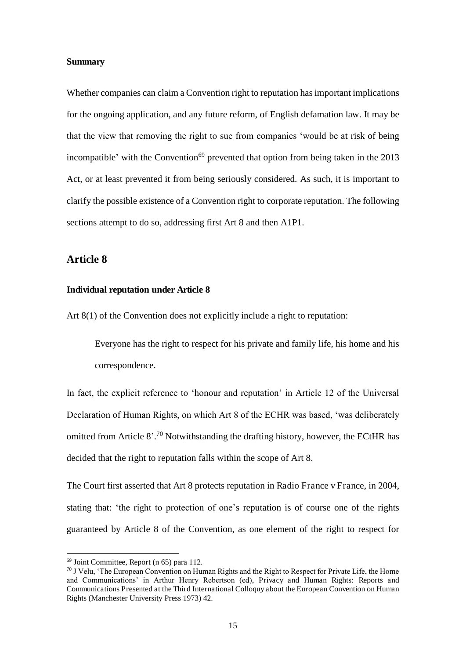#### **Summary**

Whether companies can claim a Convention right to reputation has important implications for the ongoing application, and any future reform, of English defamation law. It may be that the view that removing the right to sue from companies 'would be at risk of being incompatible' with the Convention<sup>69</sup> prevented that option from being taken in the  $2013$ Act, or at least prevented it from being seriously considered. As such, it is important to clarify the possible existence of a Convention right to corporate reputation. The following sections attempt to do so, addressing first Art 8 and then A1P1.

#### **Article 8**

#### **Individual reputation under Article 8**

Art 8(1) of the Convention does not explicitly include a right to reputation:

Everyone has the right to respect for his private and family life, his home and his correspondence.

In fact, the explicit reference to 'honour and reputation' in Article 12 of the Universal Declaration of Human Rights, on which Art 8 of the ECHR was based, 'was deliberately omitted from Article 8'.<sup>70</sup> Notwithstanding the drafting history, however, the ECtHR has decided that the right to reputation falls within the scope of Art 8.

The Court first asserted that Art 8 protects reputation in Radio France v France, in 2004, stating that: 'the right to protection of one's reputation is of course one of the rights guaranteed by Article 8 of the Convention, as one element of the right to respect for

 $69$  Joint Committee, Report (n 65) para 112.

<sup>&</sup>lt;sup>70</sup> J Velu. 'The European Convention on Human Rights and the Right to Respect for Private Life, the Home and Communications' in Arthur Henry Rebertson (ed), Privacy and Human Rights: Reports and Communications Presented at the Third International Colloquy about the European Convention on Human Rights (Manchester University Press 1973) 42.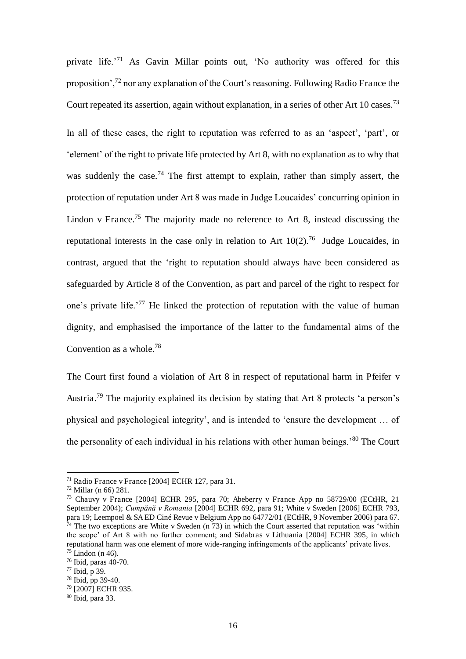private life.'<sup>71</sup> As Gavin Millar points out, 'No authority was offered for this proposition',<sup>72</sup> nor any explanation of the Court's reasoning. Following Radio France the Court repeated its assertion, again without explanation, in a series of other Art 10 cases.<sup>73</sup>

In all of these cases, the right to reputation was referred to as an 'aspect', 'part', or 'element' of the right to private life protected by Art 8, with no explanation as to why that was suddenly the case.<sup>74</sup> The first attempt to explain, rather than simply assert, the protection of reputation under Art 8 was made in Judge Loucaides' concurring opinion in Lindon v France.<sup>75</sup> The majority made no reference to Art 8, instead discussing the reputational interests in the case only in relation to Art  $10(2)$ .<sup>76</sup> Judge Loucaides, in contrast, argued that the 'right to reputation should always have been considered as safeguarded by Article 8 of the Convention, as part and parcel of the right to respect for one's private life.'<sup>77</sup> He linked the protection of reputation with the value of human dignity, and emphasised the importance of the latter to the fundamental aims of the Convention as a whole.<sup>78</sup>

The Court first found a violation of Art 8 in respect of reputational harm in Pfeifer v Austria.<sup>79</sup> The majority explained its decision by stating that Art 8 protects 'a person's physical and psychological integrity', and is intended to 'ensure the development … of the personality of each individual in his relations with other human beings.'<sup>80</sup> The Court

<sup>71</sup> Radio France v France [2004] ECHR 127, para 31.

<sup>72</sup> Millar (n 66) 281.

<sup>73</sup> Chauvy v France [2004] ECHR 295, para 70; Abeberry v France App no 58729/00 (ECtHR, 21 September 2004); *Cumpănă v Romania* [2004] ECHR 692, para 91; White v Sweden [2006] ECHR 793, para 19; Leempoel & SA ED Ciné Revue v Belgium App no 64772/01 (ECtHR, 9 November 2006) para 67.  $74$  The two exceptions are White v Sweden (n 73) in which the Court asserted that reputation was 'within the scope' of Art 8 with no further comment; and Sidabras v Lithuania [2004] ECHR 395, in which reputational harm was one element of more wide-ranging infringements of the applicants' private lives.  $75$  Lindon (n 46).

<sup>76</sup> Ibid, paras 40-70.

<sup>77</sup> Ibid, p 39.

<sup>78</sup> Ibid, pp 39-40.

<sup>&</sup>lt;sup>79</sup> [2007] ECHR 935.

<sup>80</sup> Ibid, para 33.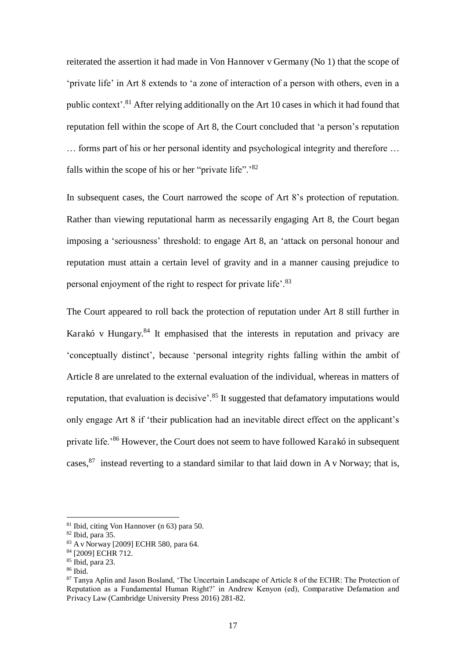reiterated the assertion it had made in Von Hannover v Germany (No 1) that the scope of 'private life' in Art 8 extends to 'a zone of interaction of a person with others, even in a public context'.<sup>81</sup> After relying additionally on the Art 10 cases in which it had found that reputation fell within the scope of Art 8, the Court concluded that 'a person's reputation … forms part of his or her personal identity and psychological integrity and therefore … falls within the scope of his or her "private life".<sup>82</sup>

In subsequent cases, the Court narrowed the scope of Art 8's protection of reputation. Rather than viewing reputational harm as necessarily engaging Art 8, the Court began imposing a 'seriousness' threshold: to engage Art 8, an 'attack on personal honour and reputation must attain a certain level of gravity and in a manner causing prejudice to personal enjoyment of the right to respect for private life'.<sup>83</sup>

The Court appeared to roll back the protection of reputation under Art 8 still further in Karakó v Hungary. $84$  It emphasised that the interests in reputation and privacy are 'conceptually distinct', because 'personal integrity rights falling within the ambit of Article 8 are unrelated to the external evaluation of the individual, whereas in matters of reputation, that evaluation is decisive<sup>'.85</sup> It suggested that defamatory imputations would only engage Art 8 if 'their publication had an inevitable direct effect on the applicant's private life.<sup>86</sup> However, the Court does not seem to have followed Karakó in subsequent cases,  $87$  instead reverting to a standard similar to that laid down in A v Norway; that is,

<sup>81</sup> Ibid, citing Von Hannover (n 63) para 50.

 $82$  Ibid, para 35.

<sup>83</sup> A v Norway [2009] ECHR 580, para 64.

<sup>84 [2009]</sup> ECHR 712.

 $85$  Ibid, para 23.

 $86$  Ibid.

<sup>87</sup> Tanya Aplin and Jason Bosland, 'The Uncertain Landscape of Article 8 of the ECHR: The Protection of Reputation as a Fundamental Human Right?' in Andrew Kenyon (ed), Comparative Defamation and Privacy Law (Cambridge University Press 2016) 281-82.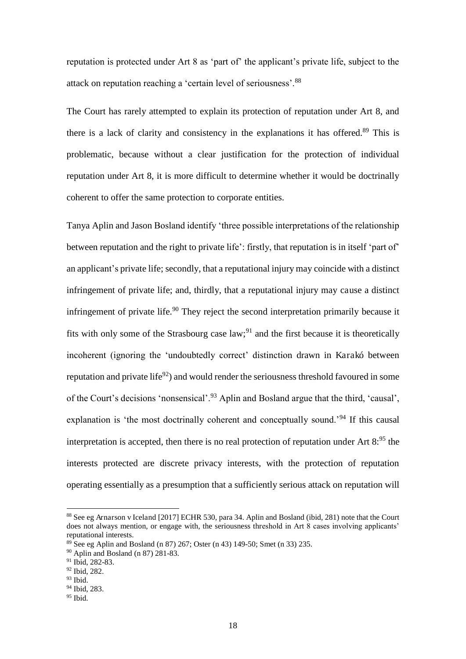reputation is protected under Art 8 as 'part of' the applicant's private life, subject to the attack on reputation reaching a 'certain level of seriousness'.<sup>88</sup>

The Court has rarely attempted to explain its protection of reputation under Art 8, and there is a lack of clarity and consistency in the explanations it has offered.<sup>89</sup> This is problematic, because without a clear justification for the protection of individual reputation under Art 8, it is more difficult to determine whether it would be doctrinally coherent to offer the same protection to corporate entities.

Tanya Aplin and Jason Bosland identify 'three possible interpretations of the relationship between reputation and the right to private life': firstly, that reputation is in itself 'part of' an applicant's private life; secondly, that a reputational injury may coincide with a distinct infringement of private life; and, thirdly, that a reputational injury may cause a distinct infringement of private life.<sup>90</sup> They reject the second interpretation primarily because it fits with only some of the Strasbourg case law;<sup>91</sup> and the first because it is theoretically incoherent (ignoring the 'undoubtedly correct' distinction drawn in Karakó between reputation and private life<sup>92</sup>) and would render the seriousness threshold favoured in some of the Court's decisions 'nonsensical'.<sup>93</sup> Aplin and Bosland argue that the third, 'causal', explanation is 'the most doctrinally coherent and conceptually sound.<sup>'94</sup> If this causal interpretation is accepted, then there is no real protection of reputation under Art  $8^{95}$  the interests protected are discrete privacy interests, with the protection of reputation operating essentially as a presumption that a sufficiently serious attack on reputation will

<sup>88</sup> See eg Arnarson v Iceland [2017] ECHR 530, para 34. Aplin and Bosland (ibid, 281) note that the Court does not always mention, or engage with, the seriousness threshold in Art 8 cases involving applicants' reputational interests.

 $89$  See eg Aplin and Bosland (n 87) 267; Oster (n 43) 149-50; Smet (n 33) 235.

<sup>90</sup> Aplin and Bosland (n 87) 281-83.

<sup>&</sup>lt;sup>91</sup> Ibid, 282-83.

<sup>92</sup> Ibid, 282.

<sup>93</sup> Ibid.

<sup>94</sup> Ibid, 283.

 $95$  Ibid.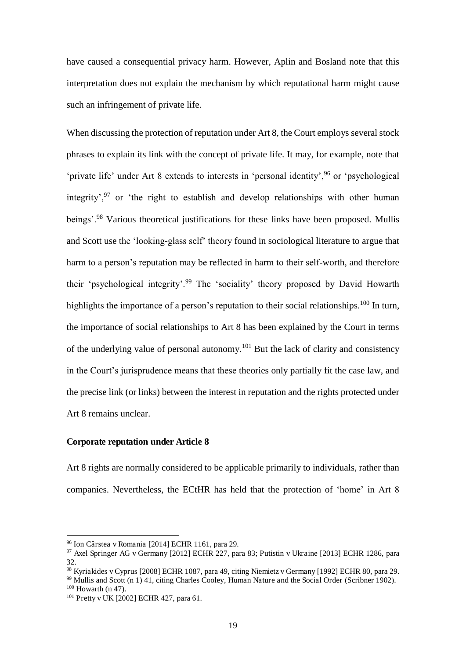have caused a consequential privacy harm. However, Aplin and Bosland note that this interpretation does not explain the mechanism by which reputational harm might cause such an infringement of private life.

When discussing the protection of reputation under Art 8, the Court employs several stock phrases to explain its link with the concept of private life. It may, for example, note that 'private life' under Art 8 extends to interests in 'personal identity',<sup>96</sup> or 'psychological integrity',<sup>97</sup> or 'the right to establish and develop relationships with other human beings'.<sup>98</sup> Various theoretical justifications for these links have been proposed. Mullis and Scott use the 'looking-glass self' theory found in sociological literature to argue that harm to a person's reputation may be reflected in harm to their self-worth, and therefore their 'psychological integrity'.<sup>99</sup> The 'sociality' theory proposed by David Howarth highlights the importance of a person's reputation to their social relationships.<sup>100</sup> In turn, the importance of social relationships to Art 8 has been explained by the Court in terms of the underlying value of personal autonomy.<sup>101</sup> But the lack of clarity and consistency in the Court's jurisprudence means that these theories only partially fit the case law, and the precise link (or links) between the interest in reputation and the rights protected under Art 8 remains unclear.

#### **Corporate reputation under Article 8**

Art 8 rights are normally considered to be applicable primarily to individuals, rather than companies. Nevertheless, the ECtHR has held that the protection of 'home' in Art 8

<sup>96</sup> Ion Cârstea v Romania [2014] ECHR 1161, para 29.

 $97$  Axel Springer AG v Germany [2012] ECHR 227, para 83; Putistin v Ukraine [2013] ECHR 1286, para 32.

<sup>98</sup> Kyriakides v Cyprus [2008] ECHR 1087, para 49, citing Niemietz v Germany [1992] ECHR 80, para 29.

<sup>99</sup> Mullis and Scott (n 1) 41, citing Charles Cooley, Human Nature and the Social Order (Scribner 1902).

 $100$  Howarth (n 47).

<sup>101</sup> Pretty v UK [2002] ECHR 427, para 61.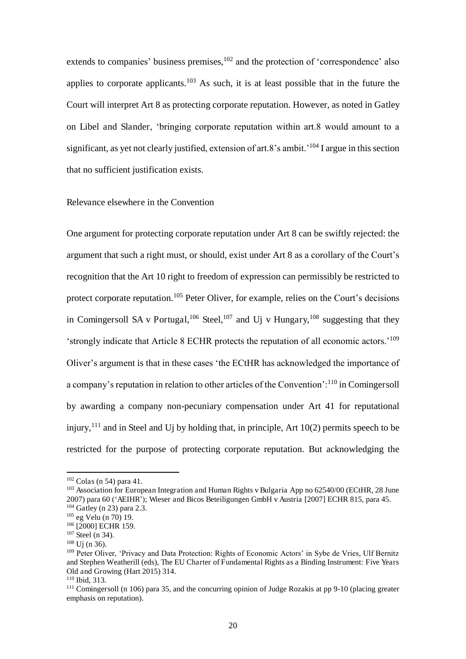extends to companies' business premises, $102$  and the protection of 'correspondence' also applies to corporate applicants.<sup>103</sup> As such, it is at least possible that in the future the Court will interpret Art 8 as protecting corporate reputation. However, as noted in Gatley on Libel and Slander, 'bringing corporate reputation within art.8 would amount to a significant, as yet not clearly justified, extension of art.8's ambit.<sup>'104</sup> I argue in this section that no sufficient justification exists.

#### Relevance elsewhere in the Convention

One argument for protecting corporate reputation under Art 8 can be swiftly rejected: the argument that such a right must, or should, exist under Art 8 as a corollary of the Court's recognition that the Art 10 right to freedom of expression can permissibly be restricted to protect corporate reputation.<sup>105</sup> Peter Oliver, for example, relies on the Court's decisions in Comingersoll SA v Portugal,<sup>106</sup> Steel,<sup>107</sup> and Uj v Hungary,<sup>108</sup> suggesting that they 'strongly indicate that Article 8 ECHR protects the reputation of all economic actors.'<sup>109</sup> Oliver's argument is that in these cases 'the ECtHR has acknowledged the importance of a company's reputation in relation to other articles of the Convention':<sup>110</sup> in Comingersoll by awarding a company non-pecuniary compensation under Art 41 for reputational injury,<sup>111</sup> and in Steel and U<sub>j</sub> by holding that, in principle, Art  $10(2)$  permits speech to be restricted for the purpose of protecting corporate reputation. But acknowledging the

 $102$  Colas (n 54) para 41.

<sup>&</sup>lt;sup>103</sup> Association for European Integration and Human Rights v Bulgaria App no 62540/00 (ECtHR, 28 June 2007) para 60 ('AEIHR'); Wieser and Bicos Beteiligungen GmbH v Austria [2007] ECHR 815, para 45. <sup>104</sup> Gatley (n 23) para 2.3.

<sup>105</sup> eg Velu (n 70) 19.

<sup>106 [2000]</sup> ECHR 159.

 $107$  Steel (n 34).

<sup>108</sup> Uj (n 36).

<sup>&</sup>lt;sup>109</sup> Peter Oliver, 'Privacy and Data Protection: Rights of Economic Actors' in Sybe de Vries, Ulf Bernitz and Stephen Weatherill (eds), The EU Charter of Fundamental Rights as a Binding Instrument: Five Years Old and Growing (Hart 2015) 314.

<sup>110</sup> Ibid, 313.

 $111$  Comingersoll (n 106) para 35, and the concurring opinion of Judge Rozakis at pp 9-10 (placing greater emphasis on reputation).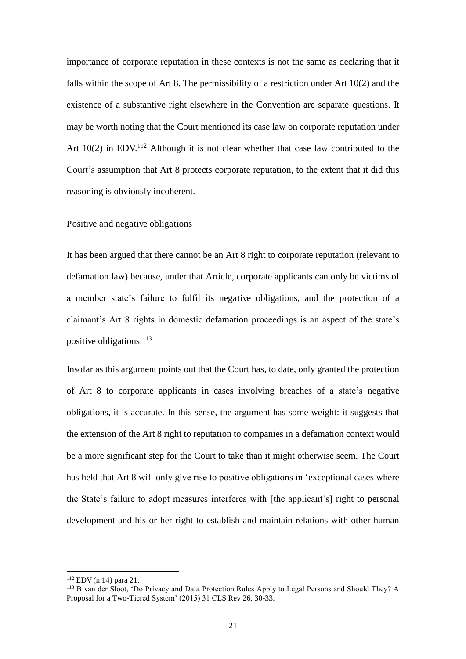importance of corporate reputation in these contexts is not the same as declaring that it falls within the scope of Art 8. The permissibility of a restriction under Art 10(2) and the existence of a substantive right elsewhere in the Convention are separate questions. It may be worth noting that the Court mentioned its case law on corporate reputation under Art  $10(2)$  in EDV.<sup>112</sup> Although it is not clear whether that case law contributed to the Court's assumption that Art 8 protects corporate reputation, to the extent that it did this reasoning is obviously incoherent.

#### Positive and negative obligations

It has been argued that there cannot be an Art 8 right to corporate reputation (relevant to defamation law) because, under that Article, corporate applicants can only be victims of a member state's failure to fulfil its negative obligations, and the protection of a claimant's Art 8 rights in domestic defamation proceedings is an aspect of the state's positive obligations.<sup>113</sup>

Insofar as this argument points out that the Court has, to date, only granted the protection of Art 8 to corporate applicants in cases involving breaches of a state's negative obligations, it is accurate. In this sense, the argument has some weight: it suggests that the extension of the Art 8 right to reputation to companies in a defamation context would be a more significant step for the Court to take than it might otherwise seem. The Court has held that Art 8 will only give rise to positive obligations in 'exceptional cases where the State's failure to adopt measures interferes with [the applicant's] right to personal development and his or her right to establish and maintain relations with other human

<sup>112</sup> EDV (n 14) para 21.

<sup>&</sup>lt;sup>113</sup> B van der Sloot, 'Do Privacy and Data Protection Rules Apply to Legal Persons and Should They? A Proposal for a Two-Tiered System' (2015) 31 CLS Rev 26, 30-33.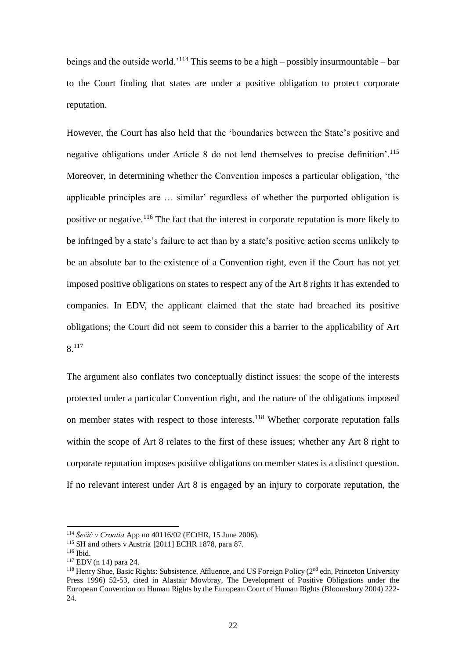beings and the outside world.<sup>'114</sup> This seems to be a high – possibly insurmountable – bar to the Court finding that states are under a positive obligation to protect corporate reputation.

However, the Court has also held that the 'boundaries between the State's positive and negative obligations under Article 8 do not lend themselves to precise definition'. 115 Moreover, in determining whether the Convention imposes a particular obligation, 'the applicable principles are … similar' regardless of whether the purported obligation is positive or negative.<sup>116</sup> The fact that the interest in corporate reputation is more likely to be infringed by a state's failure to act than by a state's positive action seems unlikely to be an absolute bar to the existence of a Convention right, even if the Court has not yet imposed positive obligations on states to respect any of the Art 8 rights it has extended to companies. In EDV, the applicant claimed that the state had breached its positive obligations; the Court did not seem to consider this a barrier to the applicability of Art 8.<sup>117</sup>

The argument also conflates two conceptually distinct issues: the scope of the interests protected under a particular Convention right, and the nature of the obligations imposed on member states with respect to those interests.<sup>118</sup> Whether corporate reputation falls within the scope of Art 8 relates to the first of these issues; whether any Art 8 right to corporate reputation imposes positive obligations on member states is a distinct question. If no relevant interest under Art 8 is engaged by an injury to corporate reputation, the

<sup>114</sup> *Šečić v Croatia* App no 40116/02 (ECtHR, 15 June 2006).

<sup>115</sup> SH and others v Austria [2011] ECHR 1878, para 87.

<sup>116</sup> Ibid.

<sup>117</sup> EDV (n 14) para 24.

<sup>&</sup>lt;sup>118</sup> Henry Shue, Basic Rights: Subsistence, Affluence, and US Foreign Policy ( $2<sup>nd</sup>$  edn, Princeton University Press 1996) 52-53, cited in Alastair Mowbray, The Development of Positive Obligations under the European Convention on Human Rights by the European Court of Human Rights (Bloomsbury 2004) 222- 24.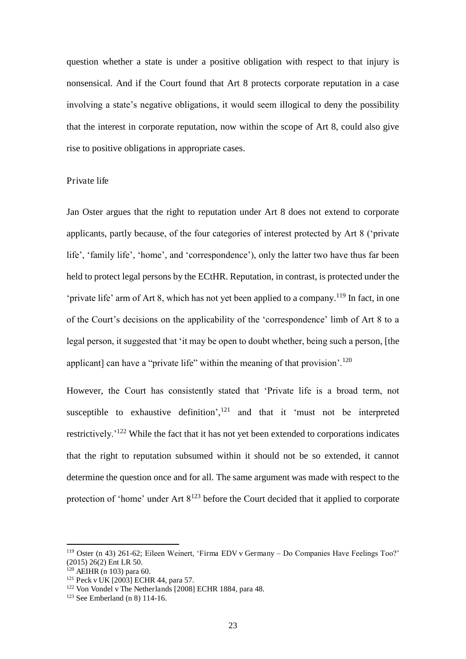question whether a state is under a positive obligation with respect to that injury is nonsensical. And if the Court found that Art 8 protects corporate reputation in a case involving a state's negative obligations, it would seem illogical to deny the possibility that the interest in corporate reputation, now within the scope of Art 8, could also give rise to positive obligations in appropriate cases.

#### Private life

Jan Oster argues that the right to reputation under Art 8 does not extend to corporate applicants, partly because, of the four categories of interest protected by Art 8 ('private life', 'family life', 'home', and 'correspondence'), only the latter two have thus far been held to protect legal persons by the ECtHR. Reputation, in contrast, is protected under the 'private life' arm of Art 8, which has not yet been applied to a company.<sup>119</sup> In fact, in one of the Court's decisions on the applicability of the 'correspondence' limb of Art 8 to a legal person, it suggested that 'it may be open to doubt whether, being such a person, [the applicant] can have a "private life" within the meaning of that provision'.<sup>120</sup>

However, the Court has consistently stated that 'Private life is a broad term, not susceptible to exhaustive definition', $121$  and that it 'must not be interpreted restrictively.'<sup>122</sup> While the fact that it has not yet been extended to corporations indicates that the right to reputation subsumed within it should not be so extended, it cannot determine the question once and for all. The same argument was made with respect to the protection of 'home' under Art  $8^{123}$  before the Court decided that it applied to corporate

<sup>119</sup> Oster (n 43) 261-62; Eileen Weinert, 'Firma EDV v Germany – Do Companies Have Feelings Too?' (2015) 26(2) Ent LR 50.

 $120$  AEIHR (n 103) para 60.

<sup>121</sup> Peck v UK [2003] ECHR 44, para 57.

<sup>122</sup> Von Vondel v The Netherlands [2008] ECHR 1884, para 48.

<sup>123</sup> See Emberland (n 8) 114-16.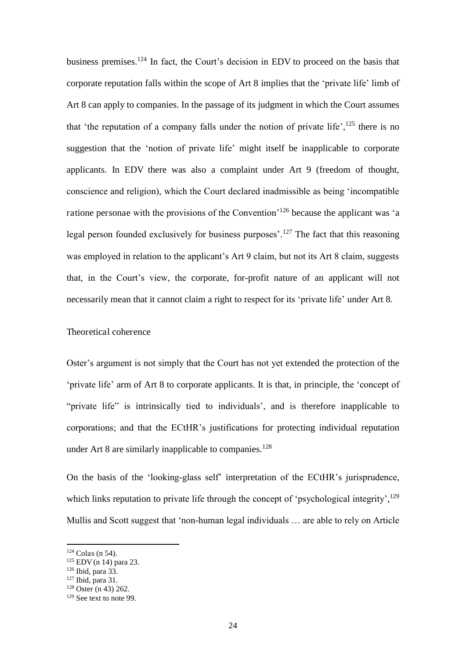business premises.<sup>124</sup> In fact, the Court's decision in EDV to proceed on the basis that corporate reputation falls within the scope of Art 8 implies that the 'private life' limb of Art 8 can apply to companies. In the passage of its judgment in which the Court assumes that 'the reputation of a company falls under the notion of private life',<sup>125</sup> there is no suggestion that the 'notion of private life' might itself be inapplicable to corporate applicants. In EDV there was also a complaint under Art 9 (freedom of thought, conscience and religion), which the Court declared inadmissible as being 'incompatible ratione personae with the provisions of the Convention'<sup>126</sup> because the applicant was 'a legal person founded exclusively for business purposes'.<sup>127</sup> The fact that this reasoning was employed in relation to the applicant's Art 9 claim, but not its Art 8 claim, suggests that, in the Court's view, the corporate, for-profit nature of an applicant will not necessarily mean that it cannot claim a right to respect for its 'private life' under Art 8.

#### Theoretical coherence

Oster's argument is not simply that the Court has not yet extended the protection of the 'private life' arm of Art 8 to corporate applicants. It is that, in principle, the 'concept of "private life" is intrinsically tied to individuals', and is therefore inapplicable to corporations; and that the ECtHR's justifications for protecting individual reputation under Art 8 are similarly inapplicable to companies.<sup>128</sup>

On the basis of the 'looking-glass self' interpretation of the ECtHR's jurisprudence, which links reputation to private life through the concept of 'psychological integrity',<sup>129</sup> Mullis and Scott suggest that 'non-human legal individuals … are able to rely on Article

 $124$  Colas (n 54).

<sup>125</sup> EDV (n 14) para 23.

 $126$  Ibid, para 33.

<sup>127</sup> Ibid, para 31.

 $128$  Oster (n 43) 262.

<sup>129</sup> See text to note 99.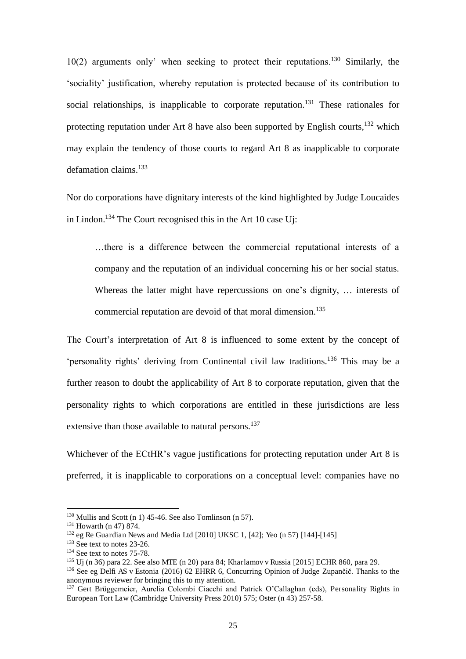10(2) arguments only' when seeking to protect their reputations.<sup>130</sup> Similarly, the 'sociality' justification, whereby reputation is protected because of its contribution to social relationships, is inapplicable to corporate reputation.<sup>131</sup> These rationales for protecting reputation under Art 8 have also been supported by English courts,  $132$  which may explain the tendency of those courts to regard Art 8 as inapplicable to corporate defamation claims.<sup>133</sup>

Nor do corporations have dignitary interests of the kind highlighted by Judge Loucaides in Lindon.<sup>134</sup> The Court recognised this in the Art 10 case Uj:

…there is a difference between the commercial reputational interests of a company and the reputation of an individual concerning his or her social status. Whereas the latter might have repercussions on one's dignity, ... interests of commercial reputation are devoid of that moral dimension.<sup>135</sup>

The Court's interpretation of Art 8 is influenced to some extent by the concept of 'personality rights' deriving from Continental civil law traditions.<sup>136</sup> This may be a further reason to doubt the applicability of Art 8 to corporate reputation, given that the personality rights to which corporations are entitled in these jurisdictions are less extensive than those available to natural persons.<sup>137</sup>

Whichever of the ECtHR's vague justifications for protecting reputation under Art 8 is preferred, it is inapplicable to corporations on a conceptual level: companies have no

 $130$  Mullis and Scott (n 1) 45-46. See also Tomlinson (n 57).

<sup>&</sup>lt;sup>131</sup> Howarth (n 47) 874.

 $132$  eg Re Guardian News and Media Ltd [2010] UKSC 1, [42]; Yeo (n 57) [144]-[145]

<sup>&</sup>lt;sup>133</sup> See text to notes 23-26.

<sup>&</sup>lt;sup>134</sup> See text to notes 75-78.

<sup>135</sup> Uj (n 36) para 22. See also MTE (n 20) para 84; Kharlamov v Russia [2015] ECHR 860, para 29.

<sup>&</sup>lt;sup>136</sup> See eg Delfi AS v Estonia (2016) 62 EHRR 6, Concurring Opinion of Judge Zupančič. Thanks to the anonymous reviewer for bringing this to my attention.

<sup>&</sup>lt;sup>137</sup> Gert Brüggemeier, Aurelia Colombi Ciacchi and Patrick O'Callaghan (eds), Personality Rights in European Tort Law (Cambridge University Press 2010) 575; Oster (n 43) 257-58.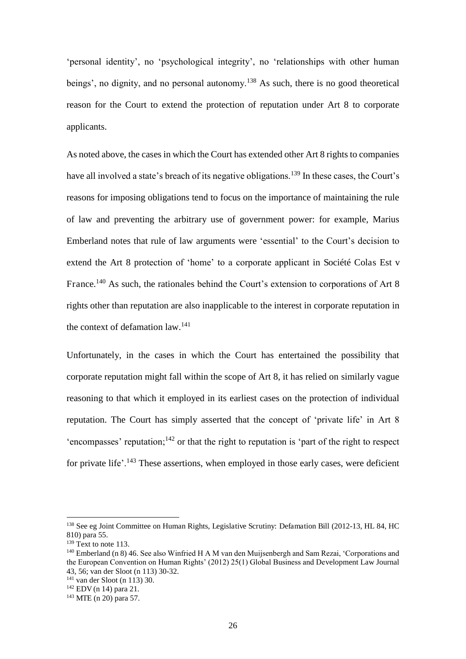'personal identity', no 'psychological integrity', no 'relationships with other human beings', no dignity, and no personal autonomy.<sup>138</sup> As such, there is no good theoretical reason for the Court to extend the protection of reputation under Art 8 to corporate applicants.

As noted above, the cases in which the Court has extended other Art 8 rights to companies have all involved a state's breach of its negative obligations.<sup>139</sup> In these cases, the Court's reasons for imposing obligations tend to focus on the importance of maintaining the rule of law and preventing the arbitrary use of government power: for example, Marius Emberland notes that rule of law arguments were 'essential' to the Court's decision to extend the Art 8 protection of 'home' to a corporate applicant in Société Colas Est v France.<sup>140</sup> As such, the rationales behind the Court's extension to corporations of Art 8 rights other than reputation are also inapplicable to the interest in corporate reputation in the context of defamation law.<sup>141</sup>

Unfortunately, in the cases in which the Court has entertained the possibility that corporate reputation might fall within the scope of Art 8, it has relied on similarly vague reasoning to that which it employed in its earliest cases on the protection of individual reputation. The Court has simply asserted that the concept of 'private life' in Art 8  $\epsilon$  'encompasses' reputation;<sup>142</sup> or that the right to reputation is 'part of the right to respect for private life'.<sup>143</sup> These assertions, when employed in those early cases, were deficient

<sup>138</sup> See eg Joint Committee on Human Rights, Legislative Scrutiny: Defamation Bill (2012-13, HL 84, HC 810) para 55.

 $139$  Text to note 113.

<sup>140</sup> Emberland (n 8) 46. See also Winfried H A M van den Muijsenbergh and Sam Rezai, 'Corporations and the European Convention on Human Rights' (2012) 25(1) Global Business and Development Law Journal 43, 56; van der Sloot (n 113) 30-32.

 $141$  van der Sloot (n 113) 30.

 $142$  EDV (n 14) para 21.

<sup>143</sup> MTE (n 20) para 57.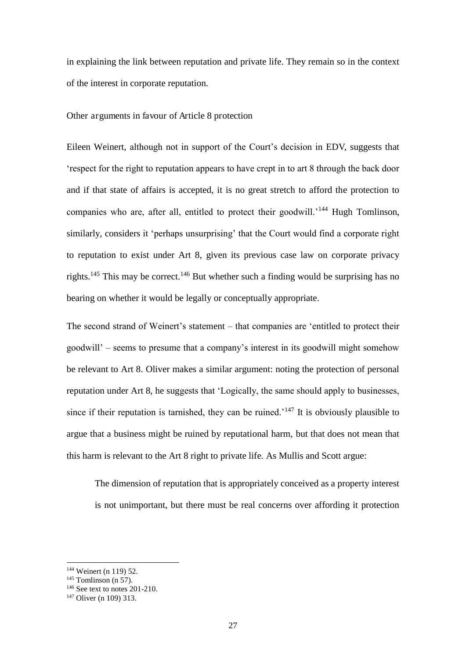in explaining the link between reputation and private life. They remain so in the context of the interest in corporate reputation.

#### Other arguments in favour of Article 8 protection

Eileen Weinert, although not in support of the Court's decision in EDV, suggests that 'respect for the right to reputation appears to have crept in to art 8 through the back door and if that state of affairs is accepted, it is no great stretch to afford the protection to companies who are, after all, entitled to protect their goodwill.'<sup>144</sup> Hugh Tomlinson, similarly, considers it 'perhaps unsurprising' that the Court would find a corporate right to reputation to exist under Art 8, given its previous case law on corporate privacy rights.<sup>145</sup> This may be correct.<sup>146</sup> But whether such a finding would be surprising has no bearing on whether it would be legally or conceptually appropriate.

The second strand of Weinert's statement – that companies are 'entitled to protect their goodwill' – seems to presume that a company's interest in its goodwill might somehow be relevant to Art 8. Oliver makes a similar argument: noting the protection of personal reputation under Art 8, he suggests that 'Logically, the same should apply to businesses, since if their reputation is tarnished, they can be ruined.<sup> $147$ </sup> It is obviously plausible to argue that a business might be ruined by reputational harm, but that does not mean that this harm is relevant to the Art 8 right to private life. As Mullis and Scott argue:

The dimension of reputation that is appropriately conceived as a property interest is not unimportant, but there must be real concerns over affording it protection

<sup>&</sup>lt;sup>144</sup> Weinert (n 119) 52.

 $145$  Tomlinson (n 57).

 $146$  See text to notes 201-210.

<sup>147</sup> Oliver (n 109) 313.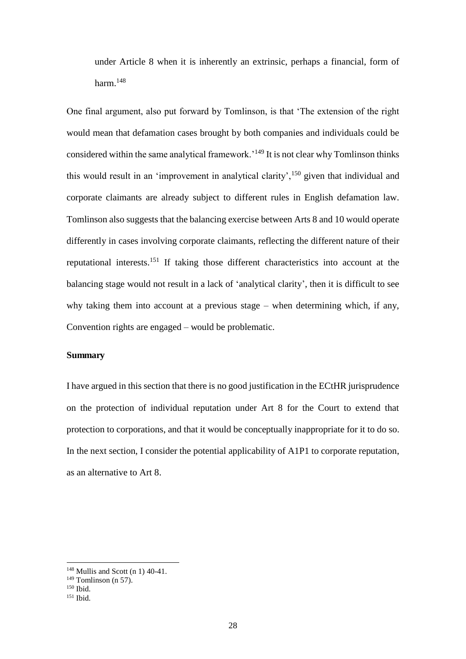under Article 8 when it is inherently an extrinsic, perhaps a financial, form of harm. $^{148}$ 

One final argument, also put forward by Tomlinson, is that 'The extension of the right would mean that defamation cases brought by both companies and individuals could be considered within the same analytical framework.'<sup>149</sup> It is not clear why Tomlinson thinks this would result in an 'improvement in analytical clarity',  $150$  given that individual and corporate claimants are already subject to different rules in English defamation law. Tomlinson also suggests that the balancing exercise between Arts 8 and 10 would operate differently in cases involving corporate claimants, reflecting the different nature of their reputational interests.<sup>151</sup> If taking those different characteristics into account at the balancing stage would not result in a lack of 'analytical clarity', then it is difficult to see why taking them into account at a previous stage – when determining which, if any, Convention rights are engaged – would be problematic.

#### **Summary**

I have argued in this section that there is no good justification in the ECtHR jurisprudence on the protection of individual reputation under Art 8 for the Court to extend that protection to corporations, and that it would be conceptually inappropriate for it to do so. In the next section, I consider the potential applicability of A1P1 to corporate reputation, as an alternative to Art 8.

 $148$  Mullis and Scott (n 1) 40-41.

 $149$  Tomlinson (n 57).

<sup>150</sup> Ibid.

<sup>151</sup> Ibid.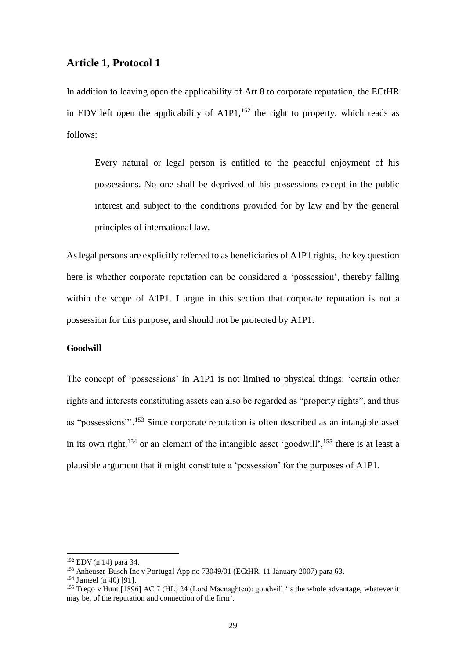#### **Article 1, Protocol 1**

In addition to leaving open the applicability of Art 8 to corporate reputation, the ECtHR in EDV left open the applicability of  $A1P1$ ,<sup>152</sup> the right to property, which reads as follows:

Every natural or legal person is entitled to the peaceful enjoyment of his possessions. No one shall be deprived of his possessions except in the public interest and subject to the conditions provided for by law and by the general principles of international law.

As legal persons are explicitly referred to as beneficiaries of A1P1 rights, the key question here is whether corporate reputation can be considered a 'possession', thereby falling within the scope of A1P1. I argue in this section that corporate reputation is not a possession for this purpose, and should not be protected by A1P1.

#### **Goodwill**

The concept of 'possessions' in A1P1 is not limited to physical things: 'certain other rights and interests constituting assets can also be regarded as "property rights", and thus as "possessions"'.<sup>153</sup> Since corporate reputation is often described as an intangible asset in its own right,<sup>154</sup> or an element of the intangible asset 'goodwill',<sup>155</sup> there is at least a plausible argument that it might constitute a 'possession' for the purposes of A1P1.

<sup>152</sup> EDV (n 14) para 34.

<sup>&</sup>lt;sup>153</sup> Anheuser-Busch Inc v Portugal App no 73049/01 (ECtHR, 11 January 2007) para 63.

<sup>154</sup> Jameel (n 40) [91].

<sup>155</sup> Trego v Hunt [1896] AC 7 (HL) 24 (Lord Macnaghten): goodwill 'is the whole advantage, whatever it may be, of the reputation and connection of the firm'.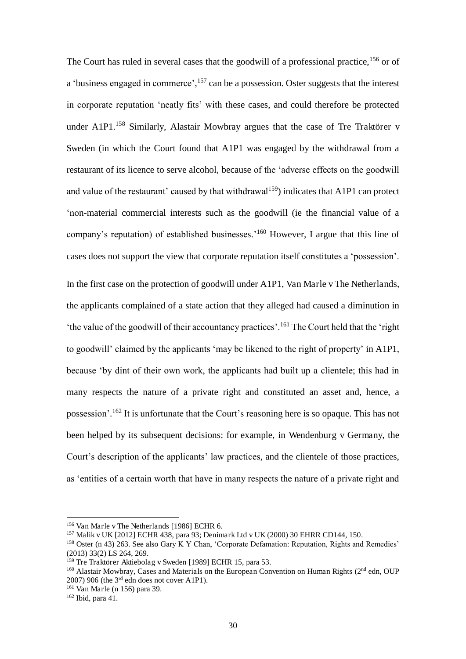The Court has ruled in several cases that the goodwill of a professional practice, <sup>156</sup> or of a 'business engaged in commerce', <sup>157</sup> can be a possession. Oster suggests that the interest in corporate reputation 'neatly fits' with these cases, and could therefore be protected under A1P1.<sup>158</sup> Similarly, Alastair Mowbray argues that the case of Tre Traktörer v Sweden (in which the Court found that A1P1 was engaged by the withdrawal from a restaurant of its licence to serve alcohol, because of the 'adverse effects on the goodwill and value of the restaurant' caused by that withdrawal<sup>159</sup>) indicates that A1P1 can protect 'non-material commercial interests such as the goodwill (ie the financial value of a company's reputation) of established businesses.'<sup>160</sup> However, I argue that this line of cases does not support the view that corporate reputation itself constitutes a 'possession'.

In the first case on the protection of goodwill under A1P1, Van Marle v The Netherlands, the applicants complained of a state action that they alleged had caused a diminution in 'the value of the goodwill of their accountancy practices'.<sup>161</sup> The Court held that the 'right to goodwill' claimed by the applicants 'may be likened to the right of property' in A1P1, because 'by dint of their own work, the applicants had built up a clientele; this had in many respects the nature of a private right and constituted an asset and, hence, a possession'. <sup>162</sup> It is unfortunate that the Court's reasoning here is so opaque. This has not been helped by its subsequent decisions: for example, in Wendenburg v Germany, the Court's description of the applicants' law practices, and the clientele of those practices, as 'entities of a certain worth that have in many respects the nature of a private right and

<sup>156</sup> Van Marle v The Netherlands [1986] ECHR 6.

<sup>157</sup> Malik v UK [2012] ECHR 438, para 93; Denimark Ltd v UK (2000) 30 EHRR CD144, 150.

<sup>&</sup>lt;sup>158</sup> Oster (n 43) 263. See also Gary K Y Chan, 'Corporate Defamation: Reputation, Rights and Remedies' (2013) 33(2) LS 264, 269.

<sup>&</sup>lt;sup>159</sup> Tre Traktörer Aktiebolag v Sweden [1989] ECHR 15, para 53.

<sup>&</sup>lt;sup>160</sup> Alastair Mowbray, Cases and Materials on the European Convention on Human Rights (2<sup>nd</sup> edn, OUP)  $2007$ ) 906 (the  $3<sup>rd</sup>$  edn does not cover A1P1).

<sup>161</sup> Van Marle (n 156) para 39.

 $162$  Ibid, para 41.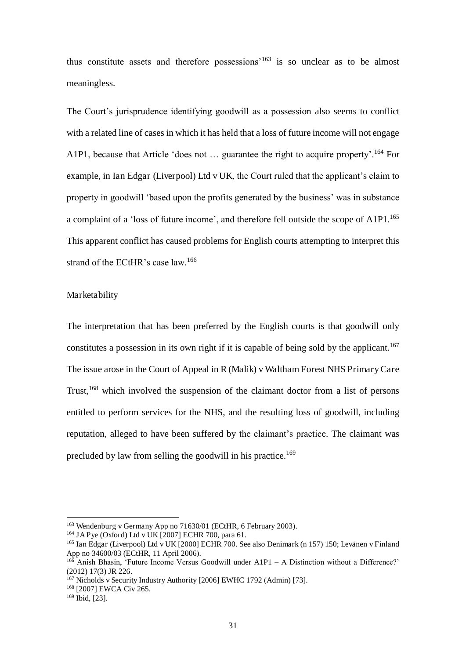thus constitute assets and therefore possessions'<sup>163</sup> is so unclear as to be almost meaningless.

The Court's jurisprudence identifying goodwill as a possession also seems to conflict with a related line of cases in which it has held that a loss of future income will not engage A1P1, because that Article 'does not ... guarantee the right to acquire property'.<sup>164</sup> For example, in Ian Edgar (Liverpool) Ltd v UK, the Court ruled that the applicant's claim to property in goodwill 'based upon the profits generated by the business' was in substance a complaint of a 'loss of future income', and therefore fell outside the scope of A1P1.<sup>165</sup> This apparent conflict has caused problems for English courts attempting to interpret this strand of the ECtHR's case law. 166

#### Marketability

The interpretation that has been preferred by the English courts is that goodwill only constitutes a possession in its own right if it is capable of being sold by the applicant.<sup>167</sup> The issue arose in the Court of Appeal in R (Malik) v Waltham Forest NHS Primary Care Trust,<sup>168</sup> which involved the suspension of the claimant doctor from a list of persons entitled to perform services for the NHS, and the resulting loss of goodwill, including reputation, alleged to have been suffered by the claimant's practice. The claimant was precluded by law from selling the goodwill in his practice.<sup>169</sup>

<sup>163</sup> Wendenburg v Germany App no 71630/01 (ECtHR, 6 February 2003).

<sup>&</sup>lt;sup>164</sup> JA Pye (Oxford) Ltd v UK [2007] ECHR 700, para 61.

<sup>&</sup>lt;sup>165</sup> Ian Edgar (Liverpool) Ltd v UK [2000] ECHR 700. See also Denimark (n 157) 150; Levänen v Finland App no 34600/03 (ECtHR, 11 April 2006).

 $166$  Anish Bhasin, 'Future Income Versus Goodwill under A1P1 – A Distinction without a Difference?' (2012) 17(3) JR 226.

<sup>&</sup>lt;sup>167</sup> Nicholds v Security Industry Authority [2006] EWHC 1792 (Admin) [73].

<sup>&</sup>lt;sup>168</sup> [2007] EWCA Civ 265.

 $169$  Ibid, [23].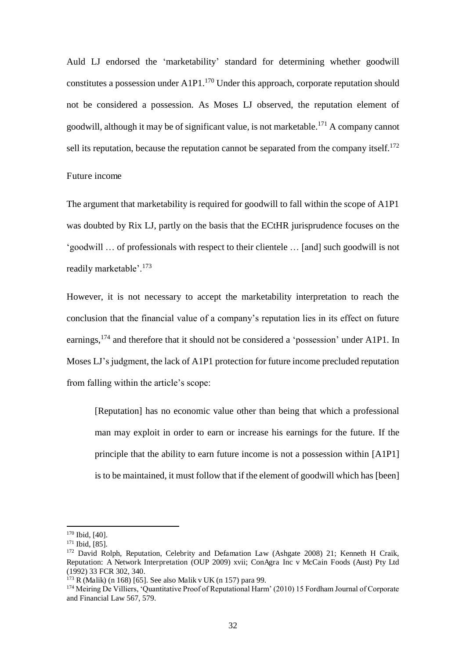Auld LJ endorsed the 'marketability' standard for determining whether goodwill constitutes a possession under  $A1P1$ <sup>170</sup> Under this approach, corporate reputation should not be considered a possession. As Moses LJ observed, the reputation element of goodwill, although it may be of significant value, is not marketable.<sup>171</sup> A company cannot sell its reputation, because the reputation cannot be separated from the company itself.<sup>172</sup>

#### Future income

The argument that marketability is required for goodwill to fall within the scope of A1P1 was doubted by Rix LJ, partly on the basis that the ECtHR jurisprudence focuses on the 'goodwill … of professionals with respect to their clientele … [and] such goodwill is not readily marketable'.<sup>173</sup>

However, it is not necessary to accept the marketability interpretation to reach the conclusion that the financial value of a company's reputation lies in its effect on future earnings,  $^{174}$  and therefore that it should not be considered a 'possession' under A1P1. In Moses LJ's judgment, the lack of A1P1 protection for future income precluded reputation from falling within the article's scope:

[Reputation] has no economic value other than being that which a professional man may exploit in order to earn or increase his earnings for the future. If the principle that the ability to earn future income is not a possession within [A1P1] is to be maintained, it must follow that if the element of goodwill which has [been]

<sup>&</sup>lt;sup>170</sup> Ibid, [40].

<sup>171</sup> Ibid, [85].

<sup>&</sup>lt;sup>172</sup> David Rolph, Reputation, Celebrity and Defamation Law (Ashgate 2008) 21; Kenneth H Craik, Reputation: A Network Interpretation (OUP 2009) xvii; ConAgra Inc v McCain Foods (Aust) Pty Ltd (1992) 33 FCR 302, 340.

 $173$  R (Malik) (n 168) [65]. See also Malik v UK (n 157) para 99.

<sup>174</sup> Meiring De Villiers, 'Quantitative Proof of Reputational Harm' (2010) 15 Fordham Journal of Corporate and Financial Law 567, 579.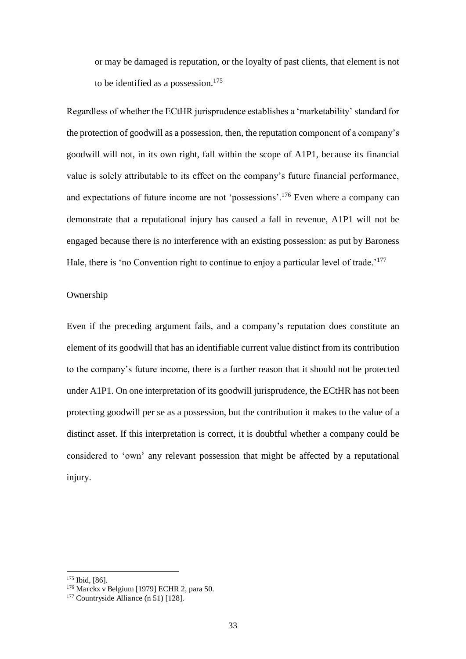or may be damaged is reputation, or the loyalty of past clients, that element is not to be identified as a possession. $175$ 

Regardless of whether the ECtHR jurisprudence establishes a 'marketability' standard for the protection of goodwill as a possession, then, the reputation component of a company's goodwill will not, in its own right, fall within the scope of A1P1, because its financial value is solely attributable to its effect on the company's future financial performance, and expectations of future income are not 'possessions'.<sup>176</sup> Even where a company can demonstrate that a reputational injury has caused a fall in revenue, A1P1 will not be engaged because there is no interference with an existing possession: as put by Baroness Hale, there is 'no Convention right to continue to enjoy a particular level of trade.<sup>'177</sup>

#### Ownership

Even if the preceding argument fails, and a company's reputation does constitute an element of its goodwill that has an identifiable current value distinct from its contribution to the company's future income, there is a further reason that it should not be protected under A1P1. On one interpretation of its goodwill jurisprudence, the ECtHR has not been protecting goodwill per se as a possession, but the contribution it makes to the value of a distinct asset. If this interpretation is correct, it is doubtful whether a company could be considered to 'own' any relevant possession that might be affected by a reputational injury.

<sup>175</sup> Ibid, [86].

<sup>176</sup> Marckx v Belgium [1979] ECHR 2, para 50.

<sup>177</sup> Countryside Alliance (n 51) [128].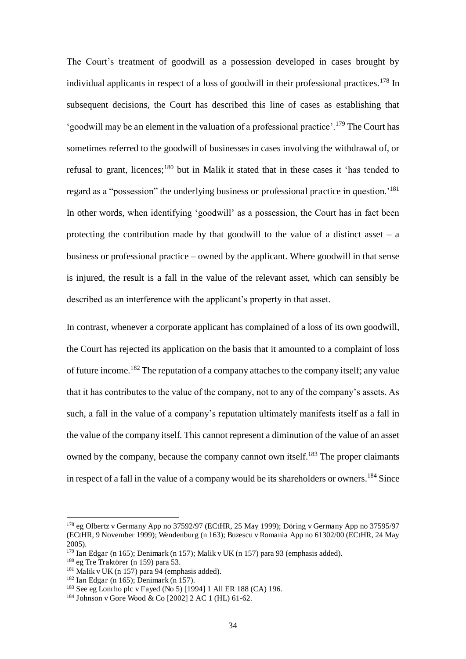The Court's treatment of goodwill as a possession developed in cases brought by individual applicants in respect of a loss of goodwill in their professional practices.<sup>178</sup> In subsequent decisions, the Court has described this line of cases as establishing that 'goodwill may be an element in the valuation of a professional practice'.<sup>179</sup> The Court has sometimes referred to the goodwill of businesses in cases involving the withdrawal of, or refusal to grant, licences;<sup>180</sup> but in Malik it stated that in these cases it 'has tended to regard as a "possession" the underlying business or professional practice in question.'<sup>181</sup> In other words, when identifying 'goodwill' as a possession, the Court has in fact been protecting the contribution made by that goodwill to the value of a distinct asset  $-$  a business or professional practice – owned by the applicant. Where goodwill in that sense is injured, the result is a fall in the value of the relevant asset, which can sensibly be described as an interference with the applicant's property in that asset.

In contrast, whenever a corporate applicant has complained of a loss of its own goodwill, the Court has rejected its application on the basis that it amounted to a complaint of loss of future income.<sup>182</sup> The reputation of a company attaches to the company itself; any value that it has contributes to the value of the company, not to any of the company's assets. As such, a fall in the value of a company's reputation ultimately manifests itself as a fall in the value of the company itself. This cannot represent a diminution of the value of an asset owned by the company, because the company cannot own itself.<sup>183</sup> The proper claimants in respect of a fall in the value of a company would be its shareholders or owners.<sup>184</sup> Since

<sup>178</sup> eg Olbertz v Germany App no 37592/97 (ECtHR, 25 May 1999); Döring v Germany App no 37595/97 (ECtHR, 9 November 1999); Wendenburg (n 163); Buzescu v Romania App no 61302/00 (ECtHR, 24 May 2005).

 $179$  Ian Edgar (n 165); Denimark (n 157); Malik v UK (n 157) para 93 (emphasis added).

 $180$  eg Tre Traktörer (n 159) para 53.

 $181$  Malik v UK (n 157) para 94 (emphasis added).

<sup>&</sup>lt;sup>182</sup> Ian Edgar (n 165); Denimark (n 157).

<sup>183</sup> See eg Lonrho plc v Fayed (No 5) [1994] 1 All ER 188 (CA) 196.

<sup>184</sup> Johnson v Gore Wood & Co [2002] 2 AC 1 (HL) 61-62.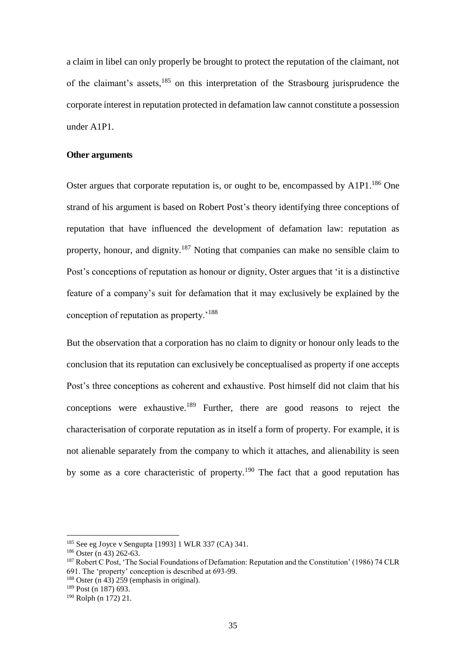a claim in libel can only properly be brought to protect the reputation of the claimant, not of the claimant's assets,<sup>185</sup> on this interpretation of the Strasbourg jurisprudence the corporate interest in reputation protected in defamation law cannot constitute a possession under A1P1.

#### **Other arguments**

Oster argues that corporate reputation is, or ought to be, encompassed by A1P1.<sup>186</sup> One strand of his argument is based on Robert Post's theory identifying three conceptions of reputation that have influenced the development of defamation law: reputation as property, honour, and dignity.<sup>187</sup> Noting that companies can make no sensible claim to Post's conceptions of reputation as honour or dignity, Oster argues that 'it is a distinctive feature of a company's suit for defamation that it may exclusively be explained by the conception of reputation as property.'<sup>188</sup>

But the observation that a corporation has no claim to dignity or honour only leads to the conclusion that its reputation can exclusively be conceptualised as property if one accepts Post's three conceptions as coherent and exhaustive. Post himself did not claim that his conceptions were exhaustive.<sup>189</sup> Further, there are good reasons to reject the characterisation of corporate reputation as in itself a form of property. For example, it is not alienable separately from the company to which it attaches, and alienability is seen by some as a core characteristic of property.<sup>190</sup> The fact that a good reputation has

<sup>185</sup> See eg Joyce v Sengupta [1993] 1 WLR 337 (CA) 341.

 $186$  Oster (n 43) 262-63.

<sup>187</sup> Robert C Post, 'The Social Foundations of Defamation: Reputation and the Constitution' (1986) 74 CLR 691. The 'property' conception is described at 693-99.

<sup>&</sup>lt;sup>188</sup> Oster (n 43) 259 (emphasis in original).

<sup>189</sup> Post (n 187) 693.

<sup>190</sup> Rolph (n 172) 21.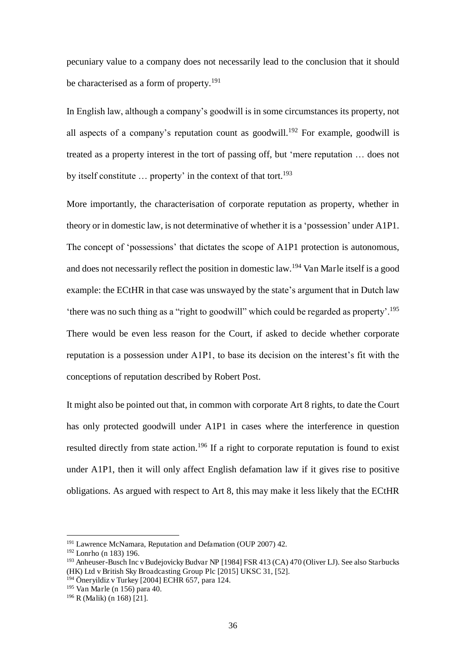pecuniary value to a company does not necessarily lead to the conclusion that it should be characterised as a form of property.<sup>191</sup>

In English law, although a company's goodwill is in some circumstances its property, not all aspects of a company's reputation count as goodwill.<sup>192</sup> For example, goodwill is treated as a property interest in the tort of passing off, but 'mere reputation … does not by itself constitute ... property' in the context of that tort.<sup>193</sup>

More importantly, the characterisation of corporate reputation as property, whether in theory or in domestic law, is not determinative of whether it is a 'possession' under A1P1. The concept of 'possessions' that dictates the scope of A1P1 protection is autonomous, and does not necessarily reflect the position in domestic law.<sup>194</sup> Van Marle itself is a good example: the ECtHR in that case was unswayed by the state's argument that in Dutch law 'there was no such thing as a "right to goodwill" which could be regarded as property'.<sup>195</sup> There would be even less reason for the Court, if asked to decide whether corporate reputation is a possession under A1P1, to base its decision on the interest's fit with the conceptions of reputation described by Robert Post.

It might also be pointed out that, in common with corporate Art 8 rights, to date the Court has only protected goodwill under A1P1 in cases where the interference in question resulted directly from state action.<sup>196</sup> If a right to corporate reputation is found to exist under A1P1, then it will only affect English defamation law if it gives rise to positive obligations. As argued with respect to Art 8, this may make it less likely that the ECtHR

<sup>&</sup>lt;sup>191</sup> Lawrence McNamara, Reputation and Defamation (OUP 2007) 42.

<sup>192</sup> Lonrho (n 183) 196.

<sup>193</sup> Anheuser-Busch Inc v Budejovicky Budvar NP [1984] FSR 413 (CA) 470 (Oliver LJ). See also Starbucks (HK) Ltd v British Sky Broadcasting Group Plc [2015] UKSC 31, [52].

 $194$  Öneryildiz v Turkey [2004] ECHR 657, para 124.

<sup>195</sup> Van Marle (n 156) para 40.

<sup>196</sup> R (Malik) (n 168) [21].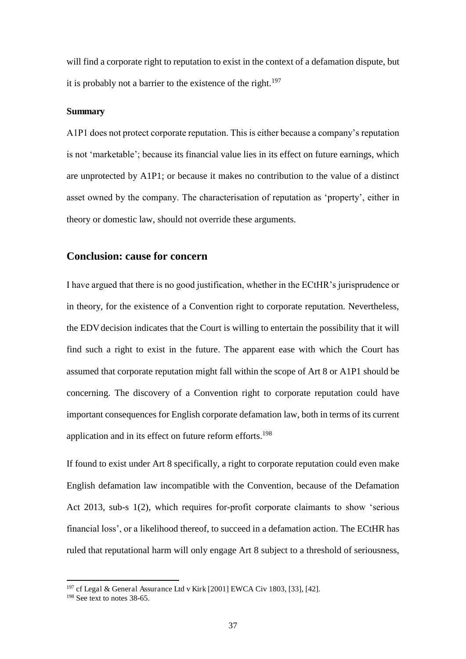will find a corporate right to reputation to exist in the context of a defamation dispute, but it is probably not a barrier to the existence of the right.<sup>197</sup>

#### **Summary**

A1P1 does not protect corporate reputation. This is either because a company's reputation is not 'marketable'; because its financial value lies in its effect on future earnings, which are unprotected by A1P1; or because it makes no contribution to the value of a distinct asset owned by the company. The characterisation of reputation as 'property', either in theory or domestic law, should not override these arguments.

#### **Conclusion: cause for concern**

I have argued that there is no good justification, whether in the ECtHR's jurisprudence or in theory, for the existence of a Convention right to corporate reputation. Nevertheless, the EDV decision indicates that the Court is willing to entertain the possibility that it will find such a right to exist in the future. The apparent ease with which the Court has assumed that corporate reputation might fall within the scope of Art 8 or A1P1 should be concerning. The discovery of a Convention right to corporate reputation could have important consequences for English corporate defamation law, both in terms of its current application and in its effect on future reform efforts.<sup>198</sup>

If found to exist under Art 8 specifically, a right to corporate reputation could even make English defamation law incompatible with the Convention, because of the Defamation Act 2013, sub-s 1(2), which requires for-profit corporate claimants to show 'serious financial loss', or a likelihood thereof, to succeed in a defamation action. The ECtHR has ruled that reputational harm will only engage Art 8 subject to a threshold of seriousness,

 $197 \text{ cf}$  Legal & General Assurance Ltd v Kirk [2001] EWCA Civ 1803, [33], [42].

 $198$  See text to notes 38-65.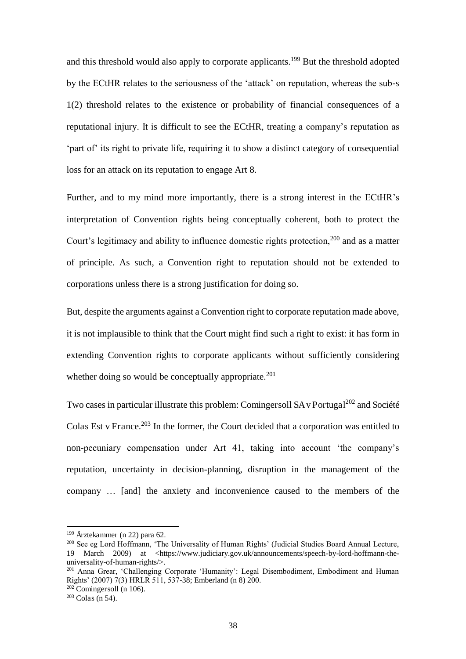and this threshold would also apply to corporate applicants.<sup>199</sup> But the threshold adopted by the ECtHR relates to the seriousness of the 'attack' on reputation, whereas the sub-s 1(2) threshold relates to the existence or probability of financial consequences of a reputational injury. It is difficult to see the ECtHR, treating a company's reputation as 'part of' its right to private life, requiring it to show a distinct category of consequential loss for an attack on its reputation to engage Art 8.

Further, and to my mind more importantly, there is a strong interest in the ECtHR's interpretation of Convention rights being conceptually coherent, both to protect the Court's legitimacy and ability to influence domestic rights protection,<sup>200</sup> and as a matter of principle. As such, a Convention right to reputation should not be extended to corporations unless there is a strong justification for doing so.

But, despite the arguments against a Convention right to corporate reputation made above, it is not implausible to think that the Court might find such a right to exist: it has form in extending Convention rights to corporate applicants without sufficiently considering whether doing so would be conceptually appropriate. $201$ 

Two cases in particular illustrate this problem: Comingersoll  $SAv$  Portugal<sup>202</sup> and Société Colas Est y France.<sup>203</sup> In the former, the Court decided that a corporation was entitled to non-pecuniary compensation under Art 41, taking into account 'the company's reputation, uncertainty in decision-planning, disruption in the management of the company … [and] the anxiety and inconvenience caused to the members of the

<sup>199</sup> Ärztekammer (n 22) para 62.

<sup>200</sup> See eg Lord Hoffmann, 'The Universality of Human Rights' (Judicial Studies Board Annual Lecture, 19 March 2009) at <https://www.judiciary.gov.uk/announcements/speech-by-lord-hoffmann-theuniversality-of-human-rights/>.

<sup>201</sup> Anna Grear, 'Challenging Corporate 'Humanity': Legal Disembodiment, Embodiment and Human Rights' (2007) 7(3) HRLR 511, 537-38; Emberland (n 8) 200.

 $202$  Comingersoll (n 106).

 $203$  Colas (n 54).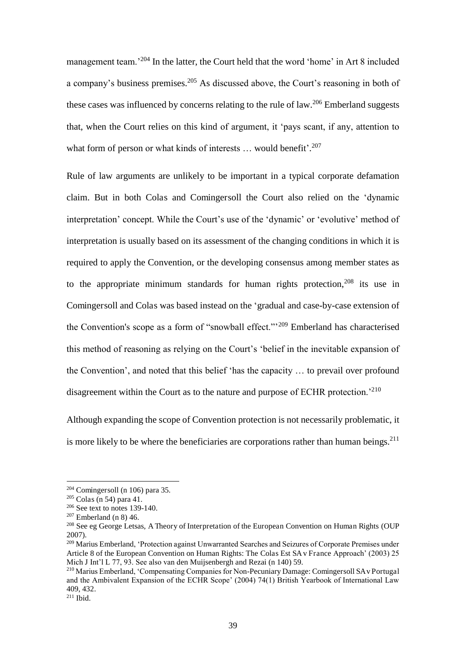management team.<sup>204</sup> In the latter, the Court held that the word 'home' in Art 8 included a company's business premises.<sup>205</sup> As discussed above, the Court's reasoning in both of these cases was influenced by concerns relating to the rule of law.<sup>206</sup> Emberland suggests that, when the Court relies on this kind of argument, it 'pays scant, if any, attention to what form of person or what kinds of interests ... would benefit'.<sup>207</sup>

Rule of law arguments are unlikely to be important in a typical corporate defamation claim. But in both Colas and Comingersoll the Court also relied on the 'dynamic interpretation' concept. While the Court's use of the 'dynamic' or 'evolutive' method of interpretation is usually based on its assessment of the changing conditions in which it is required to apply the Convention, or the developing consensus among member states as to the appropriate minimum standards for human rights protection,  $208$  its use in Comingersoll and Colas was based instead on the 'gradual and case-by-case extension of the Convention's scope as a form of "snowball effect."'<sup>209</sup> Emberland has characterised this method of reasoning as relying on the Court's 'belief in the inevitable expansion of the Convention', and noted that this belief 'has the capacity … to prevail over profound disagreement within the Court as to the nature and purpose of ECHR protection.<sup>'210</sup>

Although expanding the scope of Convention protection is not necessarily problematic, it is more likely to be where the beneficiaries are corporations rather than human beings. $^{211}$ 

 $204$  Comingersoll (n 106) para 35.

 $205$  Colas (n 54) para 41.

 $206$  See text to notes 139-140.

 $207$  Emberland (n 8) 46.

<sup>&</sup>lt;sup>208</sup> See eg George Letsas, A Theory of Interpretation of the European Convention on Human Rights (OUP 2007).

<sup>209</sup> Marius Emberland, 'Protection against Unwarranted Searches and Seizures of Corporate Premises under Article 8 of the European Convention on Human Rights: The Colas Est SA v France Approach' (2003) 25 Mich J Int'l L 77, 93. See also van den Muijsenbergh and Rezai (n 140) 59.

<sup>210</sup> Marius Emberland, 'Compensating Companies for Non-Pecuniary Damage: Comingersoll SA v Portugal and the Ambivalent Expansion of the ECHR Scope' (2004) 74(1) British Yearbook of International Law 409, 432.

 $211$  Ibid.